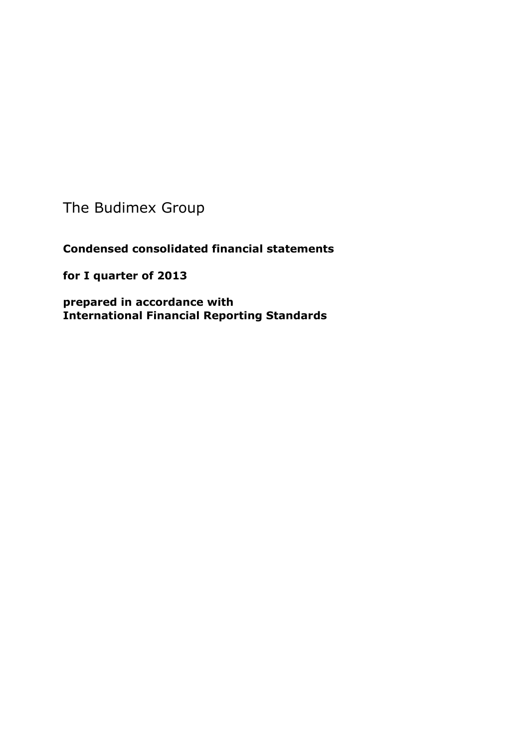The Budimex Group

**Condensed consolidated financial statements** 

**for I quarter of 2013**

**prepared in accordance with International Financial Reporting Standards**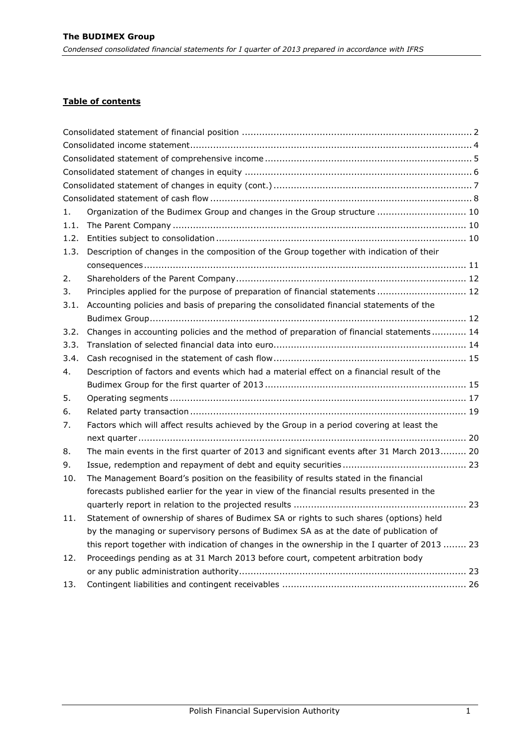# **Table of contents**

| 1.   | Organization of the Budimex Group and changes in the Group structure  10                      |
|------|-----------------------------------------------------------------------------------------------|
| 1.1. |                                                                                               |
| 1.2. |                                                                                               |
| 1.3. | Description of changes in the composition of the Group together with indication of their      |
|      |                                                                                               |
| 2.   |                                                                                               |
| 3.   | Principles applied for the purpose of preparation of financial statements  12                 |
| 3.1. | Accounting policies and basis of preparing the consolidated financial statements of the       |
|      |                                                                                               |
| 3.2. | Changes in accounting policies and the method of preparation of financial statements 14       |
| 3.3. |                                                                                               |
| 3.4. |                                                                                               |
| 4.   | Description of factors and events which had a material effect on a financial result of the    |
|      |                                                                                               |
| 5.   |                                                                                               |
| 6.   |                                                                                               |
| 7.   | Factors which will affect results achieved by the Group in a period covering at least the     |
|      |                                                                                               |
| 8.   | The main events in the first quarter of 2013 and significant events after 31 March 2013 20    |
| 9.   |                                                                                               |
| 10.  | The Management Board's position on the feasibility of results stated in the financial         |
|      | forecasts published earlier for the year in view of the financial results presented in the    |
|      |                                                                                               |
| 11.  | Statement of ownership of shares of Budimex SA or rights to such shares (options) held        |
|      | by the managing or supervisory persons of Budimex SA as at the date of publication of         |
|      | this report together with indication of changes in the ownership in the I quarter of 2013  23 |
| 12.  | Proceedings pending as at 31 March 2013 before court, competent arbitration body              |
|      |                                                                                               |
| 13.  |                                                                                               |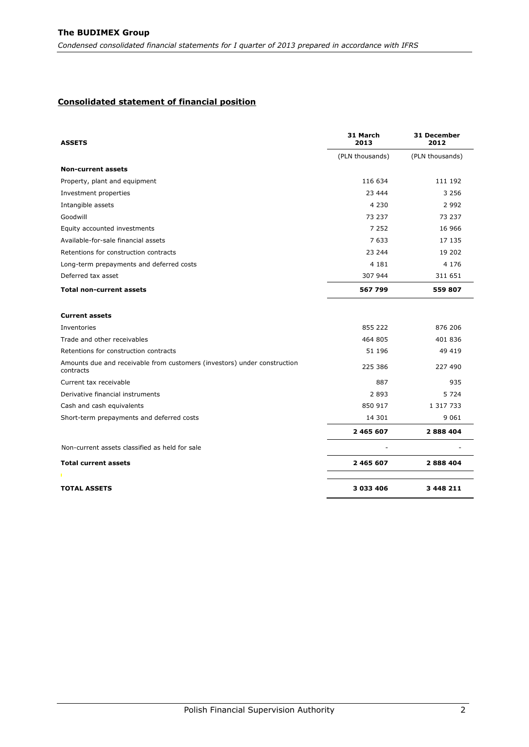#### <span id="page-2-0"></span>**Consolidated statement of financial position**

| <b>ASSETS</b>                                                                         | 31 March<br>2013 | 31 December<br>2012 |
|---------------------------------------------------------------------------------------|------------------|---------------------|
|                                                                                       | (PLN thousands)  | (PLN thousands)     |
| <b>Non-current assets</b>                                                             |                  |                     |
| Property, plant and equipment                                                         | 116 634          | 111 192             |
| Investment properties                                                                 | 23 444           | 3 2 5 6             |
| Intangible assets                                                                     | 4 2 3 0          | 2 9 9 2             |
| Goodwill                                                                              | 73 237           | 73 237              |
| Equity accounted investments                                                          | 7 2 5 2          | 16 966              |
| Available-for-sale financial assets                                                   | 7 6 3 3          | 17 135              |
| Retentions for construction contracts                                                 | 23 244           | 19 202              |
| Long-term prepayments and deferred costs                                              | 4 1 8 1          | 4 1 7 6             |
| Deferred tax asset                                                                    | 307 944          | 311 651             |
| <b>Total non-current assets</b>                                                       | 567 799          | 559 807             |
| <b>Current assets</b>                                                                 |                  |                     |
| Inventories                                                                           | 855 222          | 876 206             |
| Trade and other receivables                                                           | 464 805          | 401836              |
| Retentions for construction contracts                                                 | 51 196           | 49 419              |
| Amounts due and receivable from customers (investors) under construction<br>contracts | 225 386          | 227 490             |
| Current tax receivable                                                                | 887              | 935                 |
| Derivative financial instruments                                                      | 2893             | 5 7 2 4             |
| Cash and cash equivalents                                                             | 850 917          | 1 317 733           |
| Short-term prepayments and deferred costs                                             | 14 301           | 9 0 6 1             |
|                                                                                       | 2 465 607        | 2888404             |
| Non-current assets classified as held for sale                                        |                  |                     |
| <b>Total current assets</b>                                                           | 2 465 607        | 2888404             |
| <b>TOTAL ASSETS</b>                                                                   | 3 033 406        | 3 448 211           |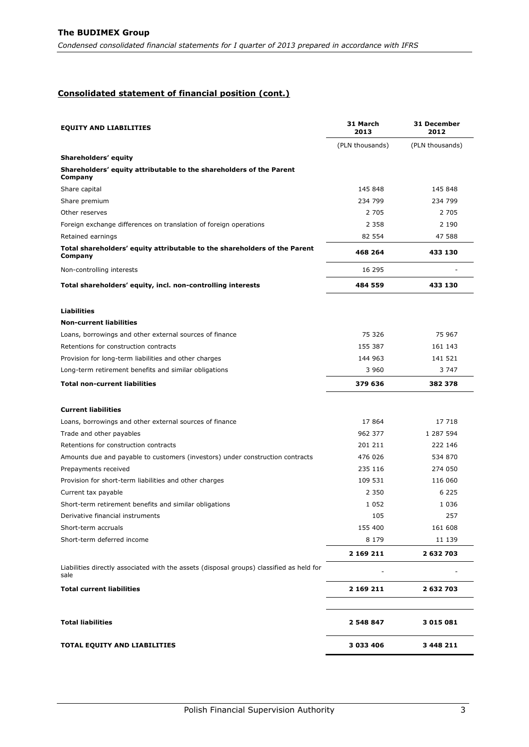## **Consolidated statement of financial position (cont.)**

| <b>EQUITY AND LIABILITIES</b>                                                                    | 31 March<br>2013 | 31 December<br>2012 |
|--------------------------------------------------------------------------------------------------|------------------|---------------------|
|                                                                                                  | (PLN thousands)  | (PLN thousands)     |
| Shareholders' equity                                                                             |                  |                     |
| Shareholders' equity attributable to the shareholders of the Parent<br>Company                   |                  |                     |
| Share capital                                                                                    | 145 848          | 145 848             |
| Share premium                                                                                    | 234 799          | 234 799             |
| Other reserves                                                                                   | 2 7 0 5          | 2 7 0 5             |
| Foreign exchange differences on translation of foreign operations                                | 2 3 5 8          | 2 1 9 0             |
| Retained earnings                                                                                | 82 554           | 47 588              |
| Total shareholders' equity attributable to the shareholders of the Parent<br>Company             | 468 264          | 433 130             |
| Non-controlling interests                                                                        | 16 295           |                     |
| Total shareholders' equity, incl. non-controlling interests                                      | 484 559          | 433 130             |
| <b>Liabilities</b>                                                                               |                  |                     |
| <b>Non-current liabilities</b>                                                                   |                  |                     |
| Loans, borrowings and other external sources of finance                                          | 75 326           | 75 967              |
| Retentions for construction contracts                                                            | 155 387          | 161 143             |
| Provision for long-term liabilities and other charges                                            | 144 963          | 141 521             |
| Long-term retirement benefits and similar obligations                                            | 3 960            | 3 747               |
| <b>Total non-current liabilities</b>                                                             | 379 636          | 382 378             |
| <b>Current liabilities</b>                                                                       |                  |                     |
| Loans, borrowings and other external sources of finance                                          | 17864            | 17 718              |
| Trade and other payables                                                                         | 962 377          | 1 287 594           |
| Retentions for construction contracts                                                            | 201 211          | 222 146             |
| Amounts due and payable to customers (investors) under construction contracts                    | 476 026          | 534 870             |
| Prepayments received                                                                             | 235 116          | 274 050             |
| Provision for short-term liabilities and other charges                                           | 109 531          | 116 060             |
| Current tax payable                                                                              | 2 3 5 0          | 6 2 2 5             |
| Short-term retirement benefits and similar obligations                                           | 1 0 5 2          | 1 0 3 6             |
| Derivative financial instruments                                                                 | 105              | 257                 |
| Short-term accruals                                                                              | 155 400          | 161 608             |
| Short-term deferred income                                                                       | 8 1 7 9          | 11 139              |
|                                                                                                  | 2 169 211        | 2 632 703           |
| Liabilities directly associated with the assets (disposal groups) classified as held for<br>sale |                  |                     |
| <b>Total current liabilities</b>                                                                 | 2 169 211        | 2 632 703           |
|                                                                                                  |                  |                     |
| <b>Total liabilities</b>                                                                         | 2 548 847        | 3 0 1 5 0 8 1       |
| TOTAL EQUITY AND LIABILITIES                                                                     | 3 033 406        | 3 4 4 8 2 1 1       |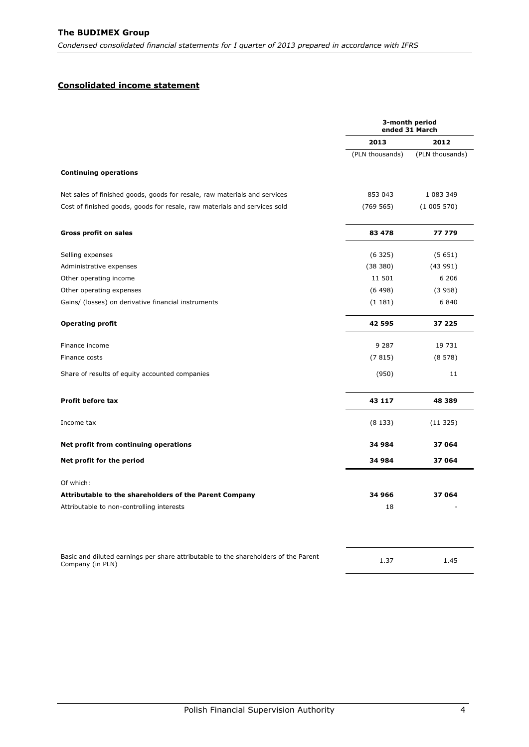## <span id="page-4-0"></span>**Consolidated income statement**

|                 | 3-month period<br>ended 31 March |
|-----------------|----------------------------------|
| 2013            | 2012                             |
| (PLN thousands) | (PLN thousands)                  |
|                 |                                  |
| 853 043         | 1 083 349                        |
| (769 565)       | (1005570)                        |
| 83 478          | 77 779                           |
| (6325)          | (5651)                           |
| (38 380)        | (43991)                          |
| 11 501          | 6 206                            |
| (6498)          | (3958)                           |
| (1181)          | 6 8 4 0                          |
| 42 595          | 37 225                           |
| 9 2 8 7         | 19 731                           |
| (7815)          | (8578)                           |
| (950)           | 11                               |
| 43 117          | 48 389                           |
| (8133)          | (11325)                          |
| 34 984          | 37 064                           |
| 34 984          | 37 064                           |
|                 |                                  |
| 34 966          | 37 064                           |
| 18              |                                  |
| 1.37            | 1.45                             |
|                 |                                  |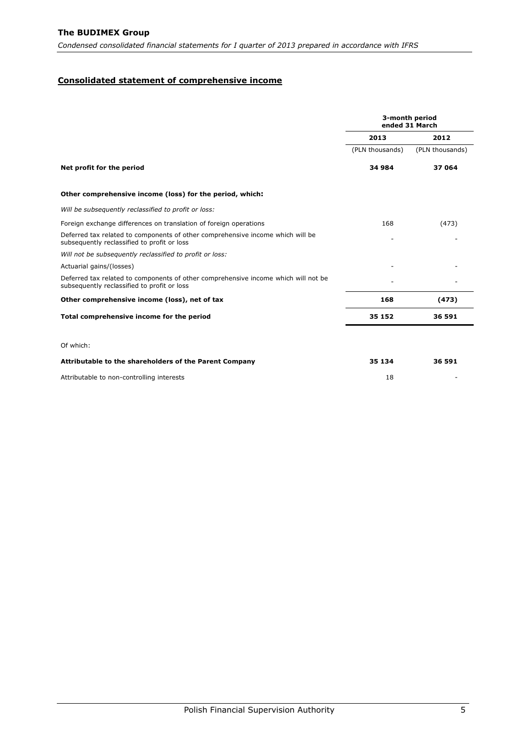## <span id="page-5-0"></span>**Consolidated statement of comprehensive income**

|                                                                                                                                   | 3-month period<br>ended 31 March |                 |  |
|-----------------------------------------------------------------------------------------------------------------------------------|----------------------------------|-----------------|--|
|                                                                                                                                   | 2013                             | 2012            |  |
|                                                                                                                                   | (PLN thousands)                  | (PLN thousands) |  |
| Net profit for the period                                                                                                         | 34 984                           | 37 064          |  |
| Other comprehensive income (loss) for the period, which:                                                                          |                                  |                 |  |
| Will be subsequently reclassified to profit or loss:                                                                              |                                  |                 |  |
| Foreign exchange differences on translation of foreign operations                                                                 | 168                              | (473)           |  |
| Deferred tax related to components of other comprehensive income which will be<br>subsequently reclassified to profit or loss     |                                  |                 |  |
| Will not be subsequently reclassified to profit or loss:                                                                          |                                  |                 |  |
| Actuarial gains/(losses)                                                                                                          |                                  |                 |  |
| Deferred tax related to components of other comprehensive income which will not be<br>subsequently reclassified to profit or loss |                                  |                 |  |
| Other comprehensive income (loss), net of tax                                                                                     | 168                              | (473)           |  |
| Total comprehensive income for the period                                                                                         | 35 152                           | 36 591          |  |
| Of which:                                                                                                                         |                                  |                 |  |
| Attributable to the shareholders of the Parent Company                                                                            | 35 134                           | 36 591          |  |
| Attributable to non-controlling interests                                                                                         | 18                               |                 |  |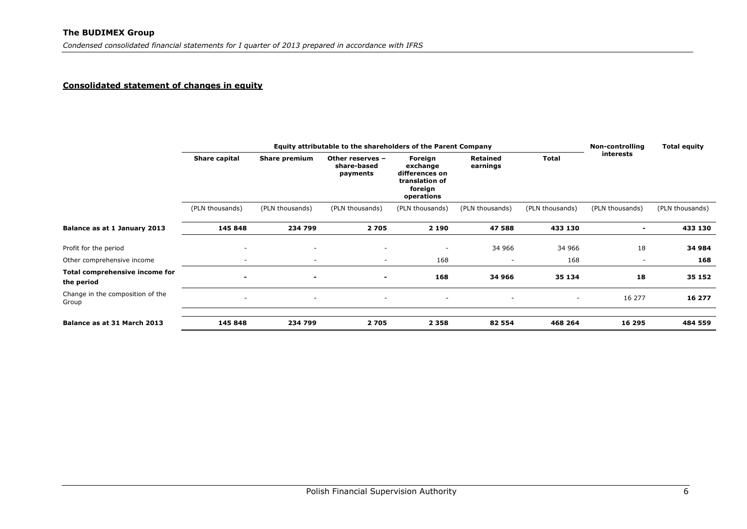#### **Consolidated statement of changes in equity**

<span id="page-6-0"></span>

|                                              | Equity attributable to the shareholders of the Parent Company |                          |                                             |                                                                                  |                          |                 | Non-controlling          | <b>Total equity</b> |
|----------------------------------------------|---------------------------------------------------------------|--------------------------|---------------------------------------------|----------------------------------------------------------------------------------|--------------------------|-----------------|--------------------------|---------------------|
|                                              | Share capital                                                 | Share premium            | Other reserves -<br>share-based<br>payments | Foreign<br>exchange<br>differences on<br>translation of<br>foreign<br>operations | Retained<br>earnings     | <b>Total</b>    | interests                |                     |
|                                              | (PLN thousands)                                               | (PLN thousands)          | (PLN thousands)                             | (PLN thousands)                                                                  | (PLN thousands)          | (PLN thousands) | (PLN thousands)          | (PLN thousands)     |
| Balance as at 1 January 2013                 | 145 848                                                       | 234 799                  | 2705                                        | 2 1 9 0                                                                          | 47 588                   | 433 130         | $\blacksquare$           | 433 130             |
| Profit for the period                        | $\overline{\phantom{a}}$                                      | $\overline{\phantom{a}}$ | $\overline{\phantom{a}}$                    | $\overline{\phantom{a}}$                                                         | 34 966                   | 34 966          | 18                       | 34 984              |
| Other comprehensive income                   | $\overline{\phantom{a}}$                                      | $\overline{\phantom{a}}$ | $\overline{\phantom{a}}$                    | 168                                                                              | $\overline{\phantom{a}}$ | 168             | $\overline{\phantom{a}}$ | 168                 |
| Total comprehensive income for<br>the period | $\blacksquare$                                                | $\blacksquare$           | $\blacksquare$                              | 168                                                                              | 34 966                   | 35 134          | 18                       | 35 152              |
| Change in the composition of the<br>Group    | $\overline{\phantom{a}}$                                      | $\overline{\phantom{a}}$ | $\overline{\phantom{a}}$                    | $\overline{\phantom{a}}$                                                         | $\overline{\phantom{a}}$ | $\sim$          | 16 277                   | 16 277              |
|                                              |                                                               |                          |                                             |                                                                                  |                          |                 |                          |                     |
| Balance as at 31 March 2013                  | 145 848                                                       | 234 799                  | 2705                                        | 2 3 5 8                                                                          | 82 554                   | 468 264         | 16 295                   | 484 559             |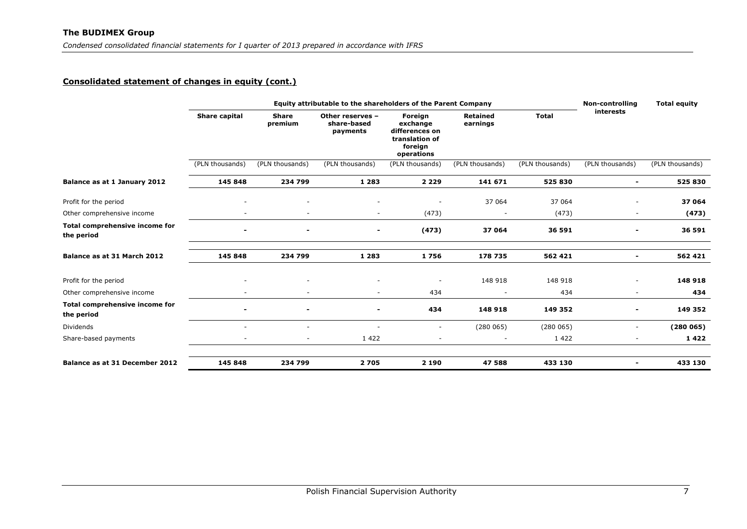## **Consolidated statement of changes in equity (cont.)**

<span id="page-7-0"></span>

|                                              |                 | <b>Non-controlling</b>       | <b>Total equity</b>                         |                                                                                  |                             |                 |                              |                 |
|----------------------------------------------|-----------------|------------------------------|---------------------------------------------|----------------------------------------------------------------------------------|-----------------------------|-----------------|------------------------------|-----------------|
|                                              | Share capital   | Share<br>premium             | Other reserves -<br>share-based<br>payments | Foreign<br>exchange<br>differences on<br>translation of<br>foreign<br>operations | <b>Retained</b><br>earnings | <b>Total</b>    | interests                    |                 |
|                                              | (PLN thousands) | (PLN thousands)              | (PLN thousands)                             | (PLN thousands)                                                                  | (PLN thousands)             | (PLN thousands) | (PLN thousands)              | (PLN thousands) |
| Balance as at 1 January 2012                 | 145 848         | 234 799                      | 1 2 8 3                                     | 2 2 2 9                                                                          | 141 671                     | 525 830         | $\blacksquare$               | 525 830         |
| Profit for the period                        |                 | $\blacksquare$               | $\overline{\phantom{a}}$                    |                                                                                  | 37 064                      | 37 064          |                              | 37 064          |
| Other comprehensive income                   |                 |                              | $\overline{\phantom{m}}$                    | (473)                                                                            |                             | (473)           | $\overline{\phantom{a}}$     | (473)           |
| Total comprehensive income for<br>the period |                 | $\qquad \qquad \blacksquare$ | $\overline{\phantom{0}}$                    | (473)                                                                            | 37 064                      | 36 591          | $\qquad \qquad \blacksquare$ | 36 591          |
| Balance as at 31 March 2012                  | 145 848         | 234 799                      | 1 2 8 3                                     | 1756                                                                             | 178 735                     | 562 421         | $\blacksquare$               | 562 421         |
| Profit for the period                        |                 |                              |                                             |                                                                                  | 148 918                     | 148 918         |                              | 148 918         |
| Other comprehensive income                   |                 | $\overline{\phantom{a}}$     | ۰                                           | 434                                                                              |                             | 434             | $\overline{\phantom{a}}$     | 434             |
| Total comprehensive income for<br>the period |                 |                              |                                             | 434                                                                              | 148 918                     | 149 352         |                              | 149 352         |
| <b>Dividends</b>                             | $\sim$          | ٠                            | $\overline{\phantom{a}}$                    | $\overline{\phantom{a}}$                                                         | (280065)                    | (280065)        | $\overline{\phantom{a}}$     | (280065)        |
| Share-based payments                         | $\sim$          | $\overline{\phantom{a}}$     | 1422                                        | ٠                                                                                | $\overline{\phantom{a}}$    | 1 4 2 2         | $\overline{\phantom{a}}$     | 1422            |
| Balance as at 31 December 2012               | 145 848         | 234 799                      | 2705                                        | 2 1 9 0                                                                          | 47 588                      | 433 130         | $\blacksquare$               | 433 130         |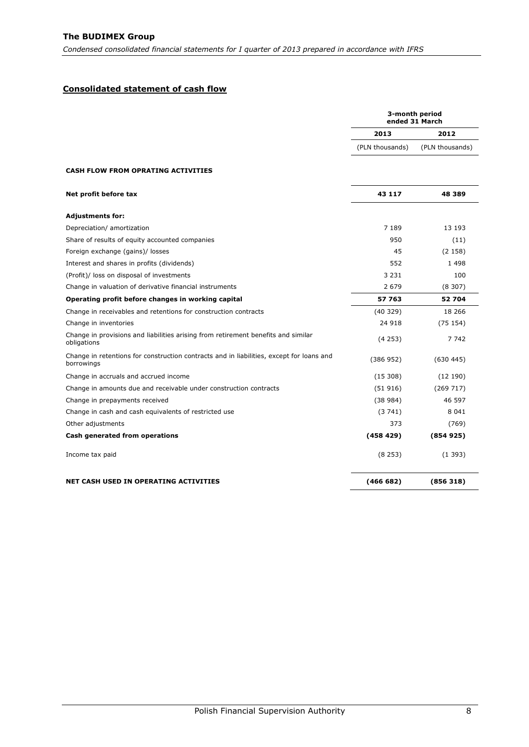## <span id="page-8-0"></span>**Consolidated statement of cash flow**

|                                                                                                        |                 | 3-month period<br>ended 31 March |
|--------------------------------------------------------------------------------------------------------|-----------------|----------------------------------|
|                                                                                                        | 2013            | 2012                             |
|                                                                                                        | (PLN thousands) | (PLN thousands)                  |
| <b>CASH FLOW FROM OPRATING ACTIVITIES</b>                                                              |                 |                                  |
| Net profit before tax                                                                                  | 43 117          | 48 389                           |
| <b>Adjustments for:</b>                                                                                |                 |                                  |
| Depreciation/ amortization                                                                             | 7 189           | 13 193                           |
| Share of results of equity accounted companies                                                         | 950             | (11)                             |
| Foreign exchange (gains)/ losses                                                                       | 45              | (2158)                           |
| Interest and shares in profits (dividends)                                                             | 552             | 1498                             |
| (Profit)/ loss on disposal of investments                                                              | 3 2 3 1         | 100                              |
| Change in valuation of derivative financial instruments                                                | 2 679           | (8307)                           |
| Operating profit before changes in working capital                                                     | 57 763          | 52 704                           |
| Change in receivables and retentions for construction contracts                                        | (40329)         | 18 26 6                          |
| Change in inventories                                                                                  | 24 918          | (75154)                          |
| Change in provisions and liabilities arising from retirement benefits and similar<br>obligations       | (4253)          | 7 7 4 2                          |
| Change in retentions for construction contracts and in liabilities, except for loans and<br>borrowings | (386952)        | (630445)                         |
| Change in accruals and accrued income                                                                  | (15308)         | (12190)                          |
| Change in amounts due and receivable under construction contracts                                      | (51916)         | (269717)                         |
| Change in prepayments received                                                                         | (38984)         | 46 597                           |
| Change in cash and cash equivalents of restricted use                                                  | (3741)          | 8 0 4 1                          |
| Other adjustments                                                                                      | 373             | (769)                            |
| Cash generated from operations                                                                         | (458 429)       | (854925)                         |
| Income tax paid                                                                                        | (8253)          | (1393)                           |
| <b>NET CASH USED IN OPERATING ACTIVITIES</b>                                                           | (466682)        | (856318)                         |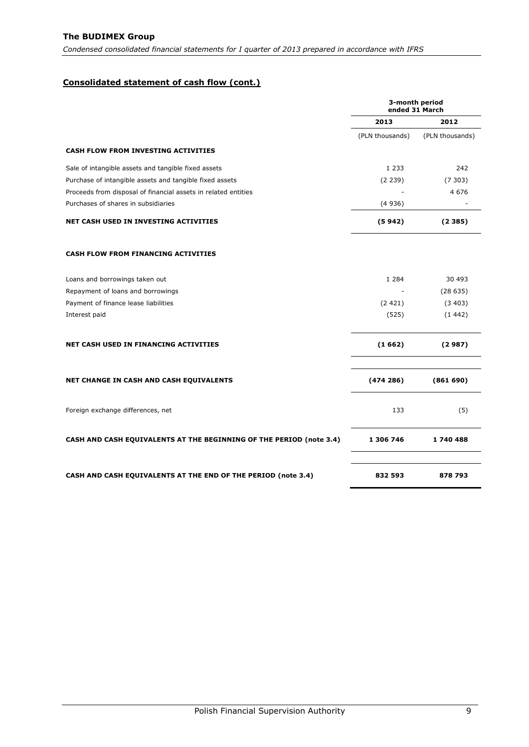## **Consolidated statement of cash flow (cont.)**

|                                                                            | 3-month period<br>ended 31 March |                 |  |
|----------------------------------------------------------------------------|----------------------------------|-----------------|--|
|                                                                            | 2013                             | 2012            |  |
|                                                                            | (PLN thousands)                  | (PLN thousands) |  |
| <b>CASH FLOW FROM INVESTING ACTIVITIES</b>                                 |                                  |                 |  |
| Sale of intangible assets and tangible fixed assets                        | 1 2 3 3                          | 242             |  |
| Purchase of intangible assets and tangible fixed assets                    | (2 239)                          | (7303)          |  |
| Proceeds from disposal of financial assets in related entities             |                                  | 4676            |  |
| Purchases of shares in subsidiaries                                        | (4936)                           |                 |  |
| <b>NET CASH USED IN INVESTING ACTIVITIES</b>                               | (5942)                           | (2385)          |  |
| <b>CASH FLOW FROM FINANCING ACTIVITIES</b>                                 |                                  |                 |  |
| Loans and borrowings taken out                                             | 1 2 8 4                          | 30 493          |  |
| Repayment of loans and borrowings                                          |                                  | (28635)         |  |
| Payment of finance lease liabilities                                       | (2421)                           | (3403)          |  |
| Interest paid                                                              | (525)                            | (1442)          |  |
| <b>NET CASH USED IN FINANCING ACTIVITIES</b>                               | (1662)                           | (2987)          |  |
| NET CHANGE IN CASH AND CASH EQUIVALENTS                                    | (474286)                         | (861690)        |  |
| Foreign exchange differences, net                                          | 133                              | (5)             |  |
| <b>CASH AND CASH EQUIVALENTS AT THE BEGINNING OF THE PERIOD (note 3.4)</b> | 1 306 746                        | 1740488         |  |
| <b>CASH AND CASH EQUIVALENTS AT THE END OF THE PERIOD (note 3.4)</b>       | 832 593                          | 878 793         |  |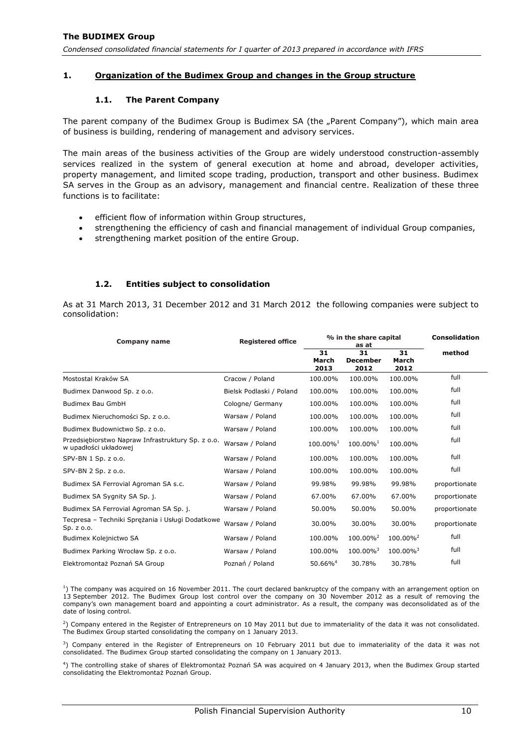## <span id="page-10-1"></span><span id="page-10-0"></span>**1. Organization of the Budimex Group and changes in the Group structure**

### **1.1. The Parent Company**

The parent company of the Budimex Group is Budimex SA (the "Parent Company"), which main area of business is building, rendering of management and advisory services.

The main areas of the business activities of the Group are widely understood construction-assembly services realized in the system of general execution at home and abroad, developer activities, property management, and limited scope trading, production, transport and other business. Budimex SA serves in the Group as an advisory, management and financial centre. Realization of these three functions is to facilitate:

- efficient flow of information within Group structures,
- strengthening the efficiency of cash and financial management of individual Group companies,
- strengthening market position of the entire Group.

### **1.2. Entities subject to consolidation**

<span id="page-10-2"></span>As at 31 March 2013, 31 December 2012 and 31 March 2012 the following companies were subject to consolidation:

| Company name                                                               | <b>Registered office</b> | % in the share capital<br>as at |                               |                      | <b>Consolidation</b> |
|----------------------------------------------------------------------------|--------------------------|---------------------------------|-------------------------------|----------------------|----------------------|
|                                                                            |                          | 31<br>March<br>2013             | 31<br><b>December</b><br>2012 | 31<br>March<br>2012  | method               |
| Mostostal Kraków SA                                                        | Cracow / Poland          | 100.00%                         | 100.00%                       | 100.00%              | full                 |
| Budimex Danwood Sp. z o.o.                                                 | Bielsk Podlaski / Poland | 100.00%                         | 100.00%                       | 100.00%              | full                 |
| Budimex Bau GmbH                                                           | Cologne/ Germany         | 100.00%                         | 100.00%                       | 100.00%              | full                 |
| Budimex Nieruchomości Sp. z o.o.                                           | Warsaw / Poland          | 100.00%                         | 100.00%                       | 100.00%              | full                 |
| Budimex Budownictwo Sp. z o.o.                                             | Warsaw / Poland          | 100.00%                         | 100.00%                       | 100.00%              | full                 |
| Przedsiębiorstwo Napraw Infrastruktury Sp. z o.o.<br>w upadłości układowej | Warsaw / Poland          | $100.00\%$ <sup>1</sup>         | 100.00% <sup>1</sup>          | 100.00%              | full                 |
| SPV-BN 1 Sp. z o.o.                                                        | Warsaw / Poland          | 100.00%                         | 100.00%                       | 100.00%              | full                 |
| SPV-BN 2 Sp. z o.o.                                                        | Warsaw / Poland          | 100.00%                         | 100.00%                       | 100.00%              | full                 |
| Budimex SA Ferrovial Agroman SA s.c.                                       | Warsaw / Poland          | 99.98%                          | 99.98%                        | 99.98%               | proportionate        |
| Budimex SA Sygnity SA Sp. j.                                               | Warsaw / Poland          | 67.00%                          | 67.00%                        | 67.00%               | proportionate        |
| Budimex SA Ferrovial Agroman SA Sp. j.                                     | Warsaw / Poland          | 50.00%                          | 50.00%                        | 50.00%               | proportionate        |
| Tecpresa - Techniki Spreżania i Usługi Dodatkowe<br>Sp. z o.o.             | Warsaw / Poland          | 30.00%                          | 30.00%                        | 30.00%               | proportionate        |
| Budimex Kolejnictwo SA                                                     | Warsaw / Poland          | 100.00%                         | 100.00% <sup>2</sup>          | 100.00% <sup>2</sup> | full                 |
| Budimex Parking Wrocław Sp. z o.o.                                         | Warsaw / Poland          | 100.00%                         | 100.00% <sup>3</sup>          | 100.00% <sup>3</sup> | full                 |
| Elektromontaż Poznań SA Group                                              | Poznań / Poland          | 50.66% <sup>4</sup>             | 30.78%                        | 30.78%               | full                 |

<sup>1</sup>) The company was acquired on 16 November 2011. The court declared bankruptcy of the company with an arrangement option on 13 September 2012. The Budimex Group lost control over the company on 30 November 2012 as a result of removing the company's own management board and appointing a court administrator. As a result, the company was deconsolidated as of the date of losing control.

2 ) Company entered in the Register of Entrepreneurs on 10 May 2011 but due to immateriality of the data it was not consolidated. The Budimex Group started consolidating the company on 1 January 2013.

 $3)$  Company entered in the Register of Entrepreneurs on 10 February 2011 but due to immateriality of the data it was not consolidated. The Budimex Group started consolidating the company on 1 January 2013.

4 ) The controlling stake of shares of Elektromontaż Poznań SA was acquired on 4 January 2013, when the Budimex Group started consolidating the Elektromontaż Poznań Group.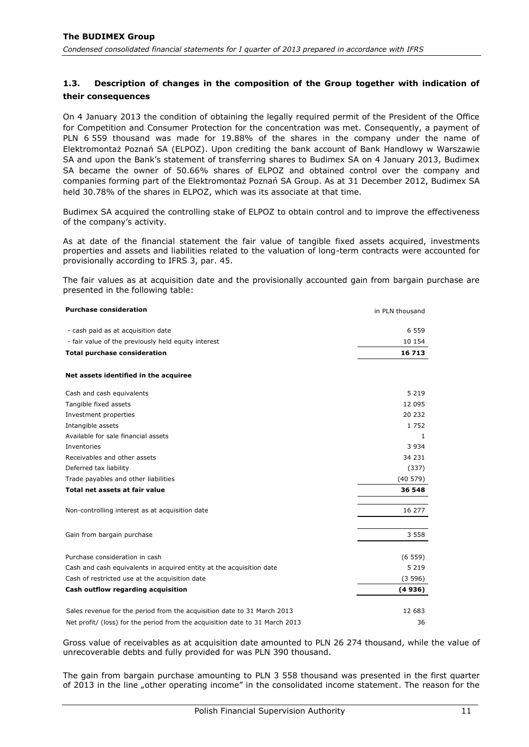## <span id="page-11-0"></span>**1.3. Description of changes in the composition of the Group together with indication of their consequences**

On 4 January 2013 the condition of obtaining the legally required permit of the President of the Office for Competition and Consumer Protection for the concentration was met. Consequently, a payment of PLN 6 559 thousand was made for 19.88% of the shares in the company under the name of Elektromontaż Poznań SA (ELPOZ). Upon crediting the bank account of Bank Handlowy w Warszawie SA and upon the Bank's statement of transferring shares to Budimex SA on 4 January 2013, Budimex SA became the owner of 50.66% shares of ELPOZ and obtained control over the company and companies forming part of the Elektromontaż Poznań SA Group. As at 31 December 2012, Budimex SA held 30.78% of the shares in ELPOZ, which was its associate at that time.

Budimex SA acquired the controlling stake of ELPOZ to obtain control and to improve the effectiveness of the company's activity.

As at date of the financial statement the fair value of tangible fixed assets acquired, investments properties and assets and liabilities related to the valuation of long-term contracts were accounted for provisionally according to IFRS 3, par. 45.

The fair values as at acquisition date and the provisionally accounted gain from bargain purchase are presented in the following table:

| <b>Purchase consideration</b>                                                | in PLN thousand |
|------------------------------------------------------------------------------|-----------------|
| - cash paid as at acquisition date                                           | 6 5 5 9         |
| - fair value of the previously held equity interest                          | 10 154          |
| <b>Total purchase consideration</b>                                          | 16 713          |
| Net assets identified in the acquiree                                        |                 |
| Cash and cash equivalents                                                    | 5 2 1 9         |
| Tangible fixed assets                                                        | 12 095          |
| Investment properties                                                        | 20 232          |
| Intangible assets                                                            | 1752            |
| Available for sale financial assets                                          | 1               |
| Inventories                                                                  | 3 9 3 4         |
| Receivables and other assets                                                 | 34 231          |
| Deferred tax liability                                                       | (337)           |
| Trade payables and other liabilities                                         | (40579)         |
| Total net assets at fair value                                               | 36 548          |
| Non-controlling interest as at acquisition date                              | 16 277          |
| Gain from bargain purchase                                                   | 3 5 5 8         |
| Purchase consideration in cash                                               | (6559)          |
| Cash and cash equivalents in acquired entity at the acquisition date         | 5 2 1 9         |
| Cash of restricted use at the acquisition date                               | (3596)          |
| Cash outflow regarding acquisition                                           | (4936)          |
| Sales revenue for the period from the acquisition date to 31 March 2013      | 12 683          |
| Net profit/ (loss) for the period from the acquisition date to 31 March 2013 | 36              |

Gross value of receivables as at acquisition date amounted to PLN 26 274 thousand, while the value of unrecoverable debts and fully provided for was PLN 390 thousand.

The gain from bargain purchase amounting to PLN 3 558 thousand was presented in the first quarter of 2013 in the line "other operating income" in the consolidated income statement. The reason for the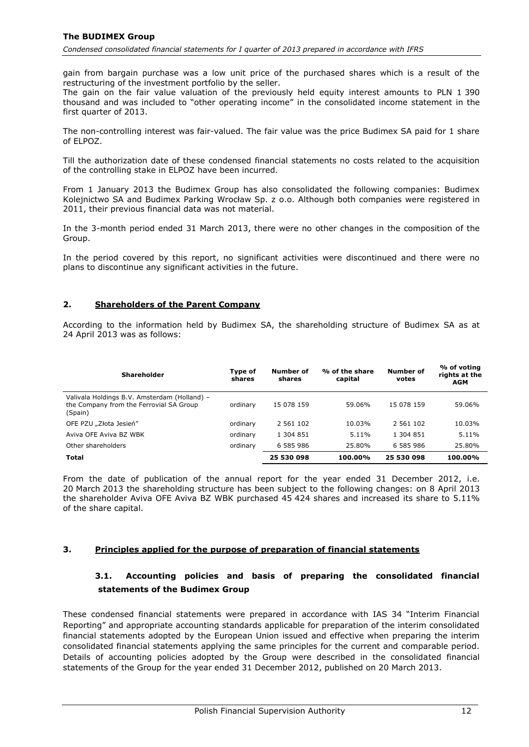gain from bargain purchase was a low unit price of the purchased shares which is a result of the restructuring of the investment portfolio by the seller.

The gain on the fair value valuation of the previously held equity interest amounts to PLN 1 390 thousand and was included to "other operating income" in the consolidated income statement in the first quarter of 2013.

The non-controlling interest was fair-valued. The fair value was the price Budimex SA paid for 1 share of ELPOZ.

Till the authorization date of these condensed financial statements no costs related to the acquisition of the controlling stake in ELPOZ have been incurred.

From 1 January 2013 the Budimex Group has also consolidated the following companies: Budimex Kolejnictwo SA and Budimex Parking Wrocław Sp. z o.o. Although both companies were registered in 2011, their previous financial data was not material.

In the 3-month period ended 31 March 2013, there were no other changes in the composition of the Group.

In the period covered by this report, no significant activities were discontinued and there were no plans to discontinue any significant activities in the future.

### <span id="page-12-0"></span>**2. Shareholders of the Parent Company**

According to the information held by Budimex SA, the shareholding structure of Budimex SA as at 24 April 2013 was as follows:

| <b>Shareholder</b>                                                                                 | Type of<br>shares | Number of<br>shares | % of the share<br>capital | <b>Number of</b><br>votes | % of voting<br>rights at the<br><b>AGM</b> |
|----------------------------------------------------------------------------------------------------|-------------------|---------------------|---------------------------|---------------------------|--------------------------------------------|
| Valivala Holdings B.V. Amsterdam (Holland) -<br>the Company from the Ferrovial SA Group<br>(Spain) | ordinary          | 15 078 159          | 59.06%                    | 15 078 159                | 59.06%                                     |
| OFE PZU "Złota Jesień"                                                                             | ordinary          | 2 561 102           | 10.03%                    | 2 561 102                 | 10.03%                                     |
| Aviva OFE Aviva BZ WBK                                                                             | ordinary          | 1 304 851           | 5.11%                     | 1 304 851                 | 5.11%                                      |
| Other shareholders                                                                                 | ordinary          | 6 585 986           | 25.80%                    | 6 585 986                 | 25.80%                                     |
| <b>Total</b>                                                                                       |                   | 25 530 098          | 100.00%                   | 25 530 098                | 100.00%                                    |

From the date of publication of the annual report for the year ended 31 December 2012, i.e. 20 March 2013 the shareholding structure has been subject to the following changes: on 8 April 2013 the shareholder Aviva OFE Aviva BZ WBK purchased 45 424 shares and increased its share to 5.11% of the share capital.

### <span id="page-12-2"></span><span id="page-12-1"></span>**3. Principles applied for the purpose of preparation of financial statements**

# **3.1. Accounting policies and basis of preparing the consolidated financial statements of the Budimex Group**

These condensed financial statements were prepared in accordance with IAS 34 "Interim Financial Reporting" and appropriate accounting standards applicable for preparation of the interim consolidated financial statements adopted by the European Union issued and effective when preparing the interim consolidated financial statements applying the same principles for the current and comparable period. Details of accounting policies adopted by the Group were described in the consolidated financial statements of the Group for the year ended 31 December 2012, published on 20 March 2013.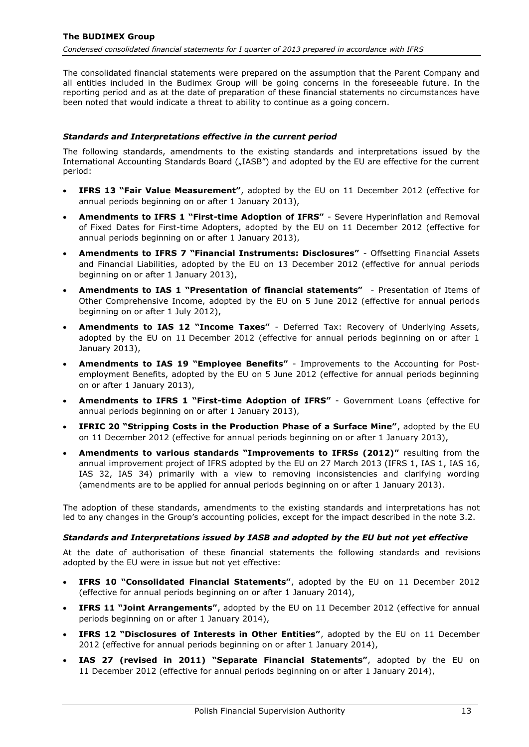The consolidated financial statements were prepared on the assumption that the Parent Company and all entities included in the Budimex Group will be going concerns in the foreseeable future. In the reporting period and as at the date of preparation of these financial statements no circumstances have been noted that would indicate a threat to ability to continue as a going concern.

### *Standards and Interpretations effective in the current period*

The following standards, amendments to the existing standards and interpretations issued by the International Accounting Standards Board ("IASB") and adopted by the EU are effective for the current period:

- **IFRS 13 "Fair Value Measurement"**, adopted by the EU on 11 December 2012 (effective for annual periods beginning on or after 1 January 2013),
- **Amendments to IFRS 1 "First-time Adoption of IFRS"** Severe Hyperinflation and Removal of Fixed Dates for First-time Adopters, adopted by the EU on 11 December 2012 (effective for annual periods beginning on or after 1 January 2013),
- **Amendments to IFRS 7 "Financial Instruments: Disclosures"** Offsetting Financial Assets and Financial Liabilities, adopted by the EU on 13 December 2012 (effective for annual periods beginning on or after 1 January 2013),
- **Amendments to IAS 1 "Presentation of financial statements"** Presentation of Items of Other Comprehensive Income, adopted by the EU on 5 June 2012 (effective for annual periods beginning on or after 1 July 2012),
- **Amendments to IAS 12 "Income Taxes"** Deferred Tax: Recovery of Underlying Assets, adopted by the EU on 11 December 2012 (effective for annual periods beginning on or after 1 January 2013),
- **Amendments to IAS 19 "Employee Benefits"** Improvements to the Accounting for Postemployment Benefits, adopted by the EU on 5 June 2012 (effective for annual periods beginning on or after 1 January 2013),
- **Amendments to IFRS 1 "First-time Adoption of IFRS"** Government Loans (effective for annual periods beginning on or after 1 January 2013),
- **IFRIC 20 "Stripping Costs in the Production Phase of a Surface Mine"**, adopted by the EU on 11 December 2012 (effective for annual periods beginning on or after 1 January 2013),
- **Amendments to various standards "Improvements to IFRSs (2012)"** resulting from the annual improvement project of IFRS adopted by the EU on 27 March 2013 (IFRS 1, IAS 1, IAS 16, IAS 32, IAS 34) primarily with a view to removing inconsistencies and clarifying wording (amendments are to be applied for annual periods beginning on or after 1 January 2013).

The adoption of these standards, amendments to the existing standards and interpretations has not led to any changes in the Group's accounting policies, except for the impact described in the note [3.2.](#page-14-0)

### *Standards and Interpretations issued by IASB and adopted by the EU but not yet effective*

At the date of authorisation of these financial statements the following standards and revisions adopted by the EU were in issue but not yet effective:

- **IFRS 10 "Consolidated Financial Statements"**, adopted by the EU on 11 December 2012 (effective for annual periods beginning on or after 1 January 2014),
- **IFRS 11 "Joint Arrangements"**, adopted by the EU on 11 December 2012 (effective for annual periods beginning on or after 1 January 2014),
- **IFRS 12 "Disclosures of Interests in Other Entities"**, adopted by the EU on 11 December 2012 (effective for annual periods beginning on or after 1 January 2014),
- **IAS 27 (revised in 2011) "Separate Financial Statements"**, adopted by the EU on 11 December 2012 (effective for annual periods beginning on or after 1 January 2014),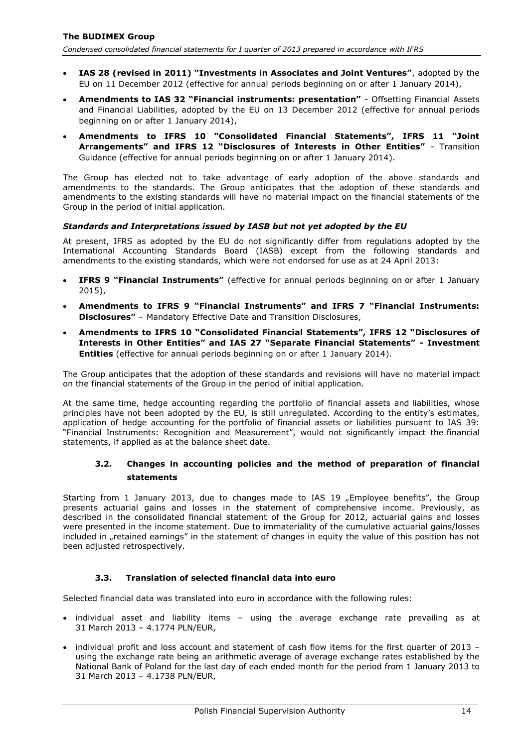- **IAS 28 (revised in 2011) "Investments in Associates and Joint Ventures"**, adopted by the EU on 11 December 2012 (effective for annual periods beginning on or after 1 January 2014),
- **Amendments to IAS 32 "Financial instruments: presentation"** Offsetting Financial Assets and Financial Liabilities, adopted by the EU on 13 December 2012 (effective for annual periods beginning on or after 1 January 2014),
- **Amendments to IFRS 10 "Consolidated Financial Statements", IFRS 11 "Joint Arrangements" and IFRS 12 "Disclosures of Interests in Other Entities"** - Transition Guidance (effective for annual periods beginning on or after 1 January 2014).

The Group has elected not to take advantage of early adoption of the above standards and amendments to the standards. The Group anticipates that the adoption of these standards and amendments to the existing standards will have no material impact on the financial statements of the Group in the period of initial application.

### *Standards and Interpretations issued by IASB but not yet adopted by the EU*

At present, IFRS as adopted by the EU do not significantly differ from regulations adopted by the International Accounting Standards Board (IASB) except from the following standards and amendments to the existing standards, which were not endorsed for use as at 24 April 2013:

- **IFRS 9 "Financial Instruments"** (effective for annual periods beginning on or after 1 January 2015),
- **Amendments to IFRS 9 "Financial Instruments" and IFRS 7 "Financial Instruments: Disclosures"** – Mandatory Effective Date and Transition Disclosures,
- **Amendments to IFRS 10 "Consolidated Financial Statements", IFRS 12 "Disclosures of Interests in Other Entities" and IAS 27 "Separate Financial Statements" - Investment Entities** (effective for annual periods beginning on or after 1 January 2014).

The Group anticipates that the adoption of these standards and revisions will have no material impact on the financial statements of the Group in the period of initial application.

At the same time, hedge accounting regarding the portfolio of financial assets and liabilities, whose principles have not been adopted by the EU, is still unregulated. According to the entity's estimates, application of hedge accounting for the portfolio of financial assets or liabilities pursuant to IAS 39: "Financial Instruments: Recognition and Measurement", would not significantly impact the financial statements, if applied as at the balance sheet date.

# <span id="page-14-0"></span>**3.2. Changes in accounting policies and the method of preparation of financial statements**

Starting from 1 January 2013, due to changes made to IAS 19 "Employee benefits", the Group presents actuarial gains and losses in the statement of comprehensive income. Previously, as described in the consolidated financial statement of the Group for 2012, actuarial gains and losses were presented in the income statement. Due to immateriality of the cumulative actuarial gains/losses included in "retained earnings" in the statement of changes in equity the value of this position has not been adjusted retrospectively.

### **3.3. Translation of selected financial data into euro**

<span id="page-14-1"></span>Selected financial data was translated into euro in accordance with the following rules:

- individual asset and liability items using the average exchange rate prevailing as at 31 March 2013 – 4.1774 PLN/EUR,
- $\bullet$  individual profit and loss account and statement of cash flow items for the first quarter of 2013 using the exchange rate being an arithmetic average of average exchange rates established by the National Bank of Poland for the last day of each ended month for the period from 1 January 2013 to 31 March 2013 – 4.1738 PLN/EUR,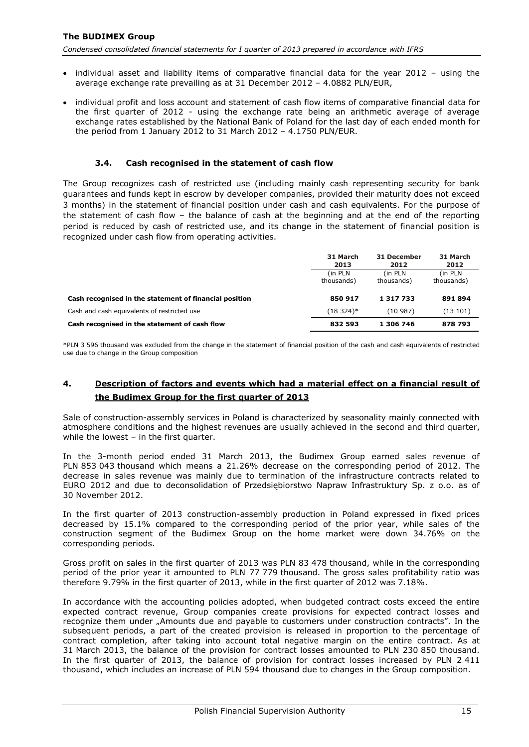*Condensed consolidated financial statements for I quarter of 2013 prepared in accordance with IFRS*

- individual asset and liability items of comparative financial data for the year 2012 using the average exchange rate prevailing as at 31 December 2012 – 4.0882 PLN/EUR,
- individual profit and loss account and statement of cash flow items of comparative financial data for the first quarter of 2012 - using the exchange rate being an arithmetic average of average exchange rates established by the National Bank of Poland for the last day of each ended month for the period from 1 January 2012 to 31 March 2012 – 4.1750 PLN/EUR.

#### **3.4. Cash recognised in the statement of cash flow**

<span id="page-15-0"></span>The Group recognizes cash of restricted use (including mainly cash representing security for bank guarantees and funds kept in escrow by developer companies, provided their maturity does not exceed 3 months) in the statement of financial position under cash and cash equivalents. For the purpose of the statement of cash flow – the balance of cash at the beginning and at the end of the reporting period is reduced by cash of restricted use, and its change in the statement of financial position is recognized under cash flow from operating activities.

|                                                        | 31 March<br>2013       | 31 December<br>2012    | 31 March<br>2012       |
|--------------------------------------------------------|------------------------|------------------------|------------------------|
|                                                        | (in PLN)<br>thousands) | (in PLN)<br>thousands) | (in PLN)<br>thousands) |
| Cash recognised in the statement of financial position | 850 917                | 1 317 733              | 891 894                |
| Cash and cash equivalents of restricted use            | $(18324)*$             | (10987)                | (13101)                |
| Cash recognised in the statement of cash flow          | 832 593                | 1 306 746              | 878 793                |

\*PLN 3 596 thousand was excluded from the change in the statement of financial position of the cash and cash equivalents of restricted use due to change in the Group composition

# <span id="page-15-1"></span>**4. Description of factors and events which had a material effect on a financial result of the Budimex Group for the first quarter of 2013**

Sale of construction-assembly services in Poland is characterized by seasonality mainly connected with atmosphere conditions and the highest revenues are usually achieved in the second and third quarter, while the lowest – in the first quarter.

In the 3-month period ended 31 March 2013, the Budimex Group earned sales revenue of PLN 853 043 thousand which means a 21.26% decrease on the corresponding period of 2012. The decrease in sales revenue was mainly due to termination of the infrastructure contracts related to EURO 2012 and due to deconsolidation of Przedsiębiorstwo Napraw Infrastruktury Sp. z o.o. as of 30 November 2012.

In the first quarter of 2013 construction-assembly production in Poland expressed in fixed prices decreased by 15.1% compared to the corresponding period of the prior year, while sales of the construction segment of the Budimex Group on the home market were down 34.76% on the corresponding periods.

Gross profit on sales in the first quarter of 2013 was PLN 83 478 thousand, while in the corresponding period of the prior year it amounted to PLN 77 779 thousand. The gross sales profitability ratio was therefore 9.79% in the first quarter of 2013, while in the first quarter of 2012 was 7.18%.

In accordance with the accounting policies adopted, when budgeted contract costs exceed the entire expected contract revenue, Group companies create provisions for expected contract losses and recognize them under "Amounts due and payable to customers under construction contracts". In the subsequent periods, a part of the created provision is released in proportion to the percentage of contract completion, after taking into account total negative margin on the entire contract. As at 31 March 2013, the balance of the provision for contract losses amounted to PLN 230 850 thousand. In the first quarter of 2013, the balance of provision for contract losses increased by PLN 2 411 thousand, which includes an increase of PLN 594 thousand due to changes in the Group composition.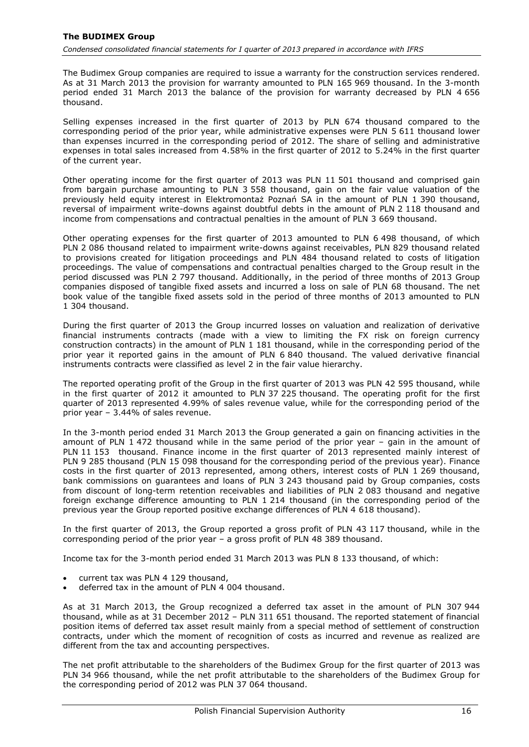The Budimex Group companies are required to issue a warranty for the construction services rendered. As at 31 March 2013 the provision for warranty amounted to PLN 165 969 thousand. In the 3-month period ended 31 March 2013 the balance of the provision for warranty decreased by PLN 4 656 thousand.

Selling expenses increased in the first quarter of 2013 by PLN 674 thousand compared to the corresponding period of the prior year, while administrative expenses were PLN 5 611 thousand lower than expenses incurred in the corresponding period of 2012. The share of selling and administrative expenses in total sales increased from 4.58% in the first quarter of 2012 to 5.24% in the first quarter of the current year.

Other operating income for the first quarter of 2013 was PLN 11 501 thousand and comprised gain from bargain purchase amounting to PLN 3 558 thousand, gain on the fair value valuation of the previously held equity interest in Elektromontaż Poznań SA in the amount of PLN 1 390 thousand, reversal of impairment write-downs against doubtful debts in the amount of PLN 2 118 thousand and income from compensations and contractual penalties in the amount of PLN 3 669 thousand.

Other operating expenses for the first quarter of 2013 amounted to PLN 6 498 thousand, of which PLN 2 086 thousand related to impairment write-downs against receivables, PLN 829 thousand related to provisions created for litigation proceedings and PLN 484 thousand related to costs of litigation proceedings. The value of compensations and contractual penalties charged to the Group result in the period discussed was PLN 2 797 thousand. Additionally, in the period of three months of 2013 Group companies disposed of tangible fixed assets and incurred a loss on sale of PLN 68 thousand. The net book value of the tangible fixed assets sold in the period of three months of 2013 amounted to PLN 1 304 thousand.

During the first quarter of 2013 the Group incurred losses on valuation and realization of derivative financial instruments contracts (made with a view to limiting the FX risk on foreign currency construction contracts) in the amount of PLN 1 181 thousand, while in the corresponding period of the prior year it reported gains in the amount of PLN 6 840 thousand. The valued derivative financial instruments contracts were classified as level 2 in the fair value hierarchy.

The reported operating profit of the Group in the first quarter of 2013 was PLN 42 595 thousand, while in the first quarter of 2012 it amounted to PLN 37 225 thousand. The operating profit for the first quarter of 2013 represented 4.99% of sales revenue value, while for the corresponding period of the prior year – 3.44% of sales revenue.

In the 3-month period ended 31 March 2013 the Group generated a gain on financing activities in the amount of PLN 1 472 thousand while in the same period of the prior year – gain in the amount of PLN 11 153 thousand. Finance income in the first quarter of 2013 represented mainly interest of PLN 9 285 thousand (PLN 15 098 thousand for the corresponding period of the previous year). Finance costs in the first quarter of 2013 represented, among others, interest costs of PLN 1 269 thousand, bank commissions on guarantees and loans of PLN 3 243 thousand paid by Group companies, costs from discount of long-term retention receivables and liabilities of PLN 2 083 thousand and negative foreign exchange difference amounting to PLN 1 214 thousand (in the corresponding period of the previous year the Group reported positive exchange differences of PLN 4 618 thousand).

In the first quarter of 2013, the Group reported a gross profit of PLN 43 117 thousand, while in the corresponding period of the prior year – a gross profit of PLN 48 389 thousand.

Income tax for the 3-month period ended 31 March 2013 was PLN 8 133 thousand, of which:

- current tax was PLN 4 129 thousand,
- deferred tax in the amount of PLN 4 004 thousand.

As at 31 March 2013, the Group recognized a deferred tax asset in the amount of PLN 307 944 thousand, while as at 31 December 2012 – PLN 311 651 thousand. The reported statement of financial position items of deferred tax asset result mainly from a special method of settlement of construction contracts, under which the moment of recognition of costs as incurred and revenue as realized are different from the tax and accounting perspectives.

The net profit attributable to the shareholders of the Budimex Group for the first quarter of 2013 was PLN 34 966 thousand, while the net profit attributable to the shareholders of the Budimex Group for the corresponding period of 2012 was PLN 37 064 thousand.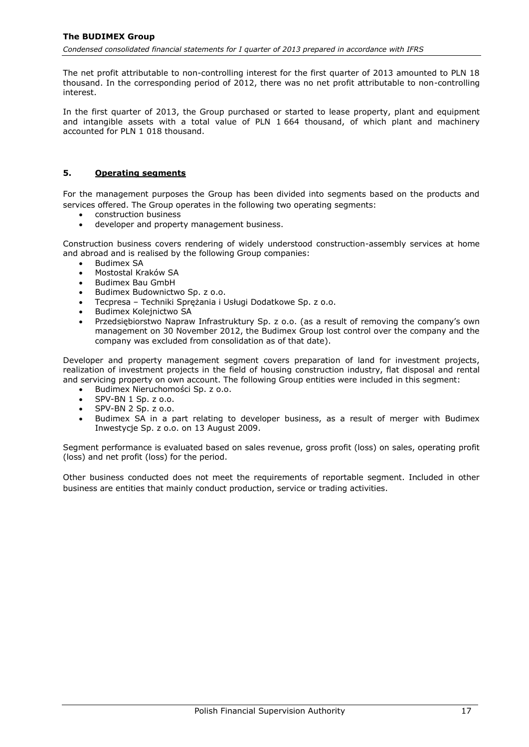The net profit attributable to non-controlling interest for the first quarter of 2013 amounted to PLN 18 thousand. In the corresponding period of 2012, there was no net profit attributable to non-controlling interest.

In the first quarter of 2013, the Group purchased or started to lease property, plant and equipment and intangible assets with a total value of PLN 1 664 thousand, of which plant and machinery accounted for PLN 1 018 thousand.

## <span id="page-17-0"></span>**5. Operating segments**

For the management purposes the Group has been divided into segments based on the products and services offered. The Group operates in the following two operating segments:

- construction business
- developer and property management business.

Construction business covers rendering of widely understood construction-assembly services at home and abroad and is realised by the following Group companies:

- Budimex SA
- Mostostal Kraków SA
- Budimex Bau GmbH
- Budimex Budownictwo Sp. z o.o.
- Tecpresa Techniki Sprężania i Usługi Dodatkowe Sp. z o.o.
- Budimex Koleinictwo SA
- Przedsiębiorstwo Napraw Infrastruktury Sp. z o.o. (as a result of removing the company's own management on 30 November 2012, the Budimex Group lost control over the company and the company was excluded from consolidation as of that date).

Developer and property management segment covers preparation of land for investment projects, realization of investment projects in the field of housing construction industry, flat disposal and rental and servicing property on own account. The following Group entities were included in this segment:

- Budimex Nieruchomości Sp. z o.o.
- SPV-BN 1 Sp. z o.o.
- SPV-BN 2 Sp. z o.o.
- Budimex SA in a part relating to developer business, as a result of merger with Budimex Inwestycje Sp. z o.o. on 13 August 2009.

Segment performance is evaluated based on sales revenue, gross profit (loss) on sales, operating profit (loss) and net profit (loss) for the period.

Other business conducted does not meet the requirements of reportable segment. Included in other business are entities that mainly conduct production, service or trading activities.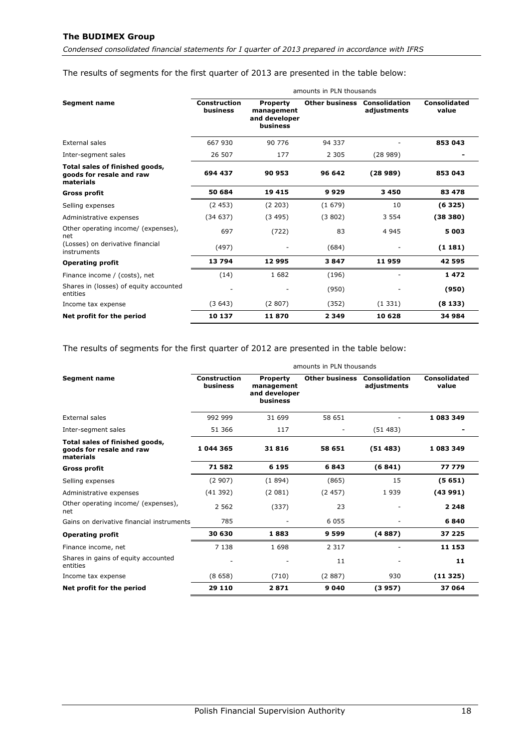*Condensed consolidated financial statements for I quarter of 2013 prepared in accordance with IFRS*

# The results of segments for the first quarter of 2013 are presented in the table below:

|                                                                         | amounts in PLN thousands        |                                                            |                       |                              |                       |  |
|-------------------------------------------------------------------------|---------------------------------|------------------------------------------------------------|-----------------------|------------------------------|-----------------------|--|
| <b>Segment name</b>                                                     | <b>Construction</b><br>business | <b>Property</b><br>management<br>and developer<br>business | <b>Other business</b> | Consolidation<br>adjustments | Consolidated<br>value |  |
| External sales                                                          | 667 930                         | 90 776                                                     | 94 337                |                              | 853 043               |  |
| Inter-segment sales                                                     | 26 507                          | 177                                                        | 2 3 0 5               | (28989)                      |                       |  |
| Total sales of finished goods,<br>goods for resale and raw<br>materials | 694 437                         | 90 953                                                     | 96 642                | (28989)                      | 853 043               |  |
| <b>Gross profit</b>                                                     | 50 684                          | 19 4 15                                                    | 9929                  | 3 4 5 0                      | 83 478                |  |
| Selling expenses                                                        | (2453)                          | (2 203)                                                    | (1679)                | 10                           | (6325)                |  |
| Administrative expenses                                                 | (34637)                         | (3495)                                                     | (3802)                | 3 5 5 4                      | (38380)               |  |
| Other operating income/ (expenses),<br>net                              | 697                             | (722)                                                      | 83                    | 4 9 4 5                      | 5 0 0 3               |  |
| (Losses) on derivative financial<br>instruments                         | (497)                           |                                                            | (684)                 |                              | (1181)                |  |
| <b>Operating profit</b>                                                 | 13794                           | 12995                                                      | 3847                  | 11959                        | 42 595                |  |
| Finance income / (costs), net                                           | (14)                            | 1682                                                       | (196)                 |                              | 1472                  |  |
| Shares in (losses) of equity accounted<br>entities                      |                                 |                                                            | (950)                 |                              | (950)                 |  |
| Income tax expense                                                      | (3643)                          | (2807)                                                     | (352)                 | (1331)                       | (8133)                |  |
| Net profit for the period                                               | 10 137                          | 11870                                                      | 2 3 4 9               | 10 628                       | 34 984                |  |

The results of segments for the first quarter of 2012 are presented in the table below:

|                                                                         | amounts in PLN thousands        |                                                            |                       |                                     |                       |  |
|-------------------------------------------------------------------------|---------------------------------|------------------------------------------------------------|-----------------------|-------------------------------------|-----------------------|--|
| <b>Segment name</b>                                                     | <b>Construction</b><br>business | <b>Property</b><br>management<br>and developer<br>business | <b>Other business</b> | <b>Consolidation</b><br>adjustments | Consolidated<br>value |  |
| External sales                                                          | 992 999                         | 31 699                                                     | 58 651                |                                     | 1 083 349             |  |
| Inter-segment sales                                                     | 51 366                          | 117                                                        |                       | (51483)                             |                       |  |
| Total sales of finished goods,<br>goods for resale and raw<br>materials | 1 044 365                       | 31816                                                      | 58 651                | (51483)                             | 1 083 349             |  |
| <b>Gross profit</b>                                                     | 71582                           | 6 1 9 5                                                    | 6843                  | (6841)                              | 77 779                |  |
| Selling expenses                                                        | (2907)                          | (1894)                                                     | (865)                 | 15                                  | (5651)                |  |
| Administrative expenses                                                 | (41392)                         | (2081)                                                     | (2457)                | 1939                                | (43991)               |  |
| Other operating income/ (expenses),<br>net                              | 2 5 6 2                         | (337)                                                      | 23                    | $\overline{\phantom{a}}$            | 2 2 4 8               |  |
| Gains on derivative financial instruments                               | 785                             |                                                            | 6 0 5 5               |                                     | 6840                  |  |
| <b>Operating profit</b>                                                 | 30 630                          | 1883                                                       | 9599                  | (4887)                              | 37 225                |  |
| Finance income, net                                                     | 7 1 3 8                         | 1698                                                       | 2 3 1 7               |                                     | 11 153                |  |
| Shares in gains of equity accounted<br>entities                         |                                 |                                                            | 11                    |                                     | 11                    |  |
| Income tax expense                                                      | (8658)                          | (710)                                                      | (2887)                | 930                                 | (11325)               |  |
| Net profit for the period                                               | 29 110                          | 2871                                                       | 9 0 4 0               | (3957)                              | 37 064                |  |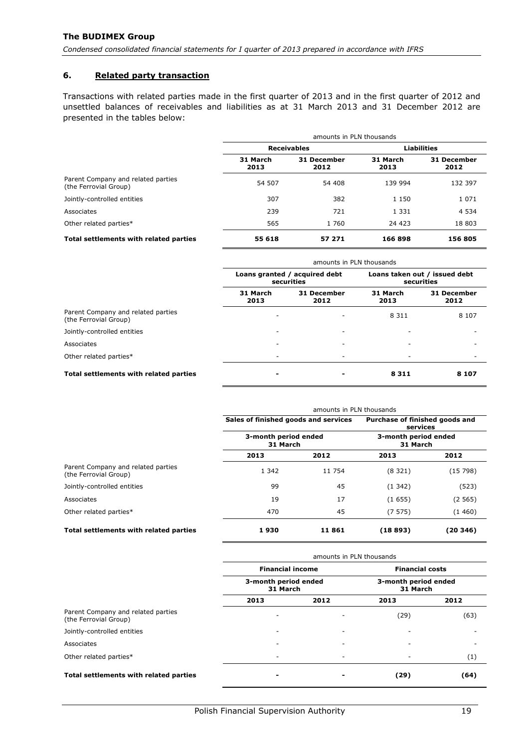## <span id="page-19-0"></span>**6. Related party transaction**

Transactions with related parties made in the first quarter of 2013 and in the first quarter of 2012 and unsettled balances of receivables and liabilities as at 31 March 2013 and 31 December 2012 are presented in the tables below:

|                                                             | amounts in PLN thousands |                     |                    |                     |  |
|-------------------------------------------------------------|--------------------------|---------------------|--------------------|---------------------|--|
|                                                             |                          | <b>Receivables</b>  | <b>Liabilities</b> |                     |  |
|                                                             | 31 March<br>2013         | 31 December<br>2012 | 31 March<br>2013   | 31 December<br>2012 |  |
| Parent Company and related parties<br>(the Ferrovial Group) | 54 507                   | 54 408              | 139 994            | 132 397             |  |
| Jointly-controlled entities                                 | 307                      | 382                 | 1 1 5 0            | 1 0 7 1             |  |
| Associates                                                  | 239                      | 721                 | 1 3 3 1            | 4 5 3 4             |  |
| Other related parties*                                      | 565                      | 1760                | 24 4 23            | 18 803              |  |
| Total settlements with related parties                      | 55 618                   | 57 271              | 166898             | 156 805             |  |

|                                                             | amounts in PLN thousands                    |                          |                                             |                     |  |  |
|-------------------------------------------------------------|---------------------------------------------|--------------------------|---------------------------------------------|---------------------|--|--|
|                                                             | Loans granted / acquired debt<br>securities |                          | Loans taken out / issued debt<br>securities |                     |  |  |
|                                                             | 31 March<br>2013                            | 31 December<br>2012      | 31 March<br>2013                            | 31 December<br>2012 |  |  |
| Parent Company and related parties<br>(the Ferrovial Group) |                                             |                          | 8 3 1 1                                     | 8 1 0 7             |  |  |
| Jointly-controlled entities                                 |                                             | $\overline{\phantom{a}}$ |                                             |                     |  |  |
| Associates                                                  | ۰                                           | $\overline{\phantom{a}}$ |                                             |                     |  |  |
| Other related parties*                                      |                                             |                          |                                             |                     |  |  |
| Total settlements with related parties                      |                                             |                          | 8 3 1 1                                     | 8 1 0 7             |  |  |

|                                                             | amounts in PLN thousands             |        |                                            |          |  |
|-------------------------------------------------------------|--------------------------------------|--------|--------------------------------------------|----------|--|
|                                                             | Sales of finished goods and services |        | Purchase of finished goods and<br>services |          |  |
|                                                             | 3-month period ended<br>31 March     |        | 3-month period ended<br>31 March           |          |  |
|                                                             | 2013                                 | 2012   | 2013                                       | 2012     |  |
| Parent Company and related parties<br>(the Ferrovial Group) | 1 3 4 2                              | 11 754 | (8321)                                     | (15798)  |  |
| Jointly-controlled entities                                 | 99                                   | 45     | (1342)                                     | (523)    |  |
| Associates                                                  | 19                                   | 17     | (1655)                                     | (2565)   |  |
| Other related parties*                                      | 470                                  | 45     | (7575)                                     | (1460)   |  |
| Total settlements with related parties                      | 1930                                 | 11861  | (18893)                                    | (20 346) |  |

|                                                             | amounts in PLN thousands         |                          |                                  |      |  |  |
|-------------------------------------------------------------|----------------------------------|--------------------------|----------------------------------|------|--|--|
|                                                             | <b>Financial income</b>          |                          | <b>Financial costs</b>           |      |  |  |
|                                                             | 3-month period ended<br>31 March |                          | 3-month period ended<br>31 March |      |  |  |
|                                                             | 2013                             | 2012                     | 2013                             | 2012 |  |  |
| Parent Company and related parties<br>(the Ferrovial Group) |                                  |                          | (29)                             | (63) |  |  |
| Jointly-controlled entities                                 |                                  | -                        | $\overline{\phantom{a}}$         |      |  |  |
| Associates                                                  | ٠                                | -                        | $\overline{\phantom{a}}$         |      |  |  |
| Other related parties*                                      | ٠                                | $\overline{\phantom{a}}$ | $\overline{\phantom{a}}$         | (1)  |  |  |
| Total settlements with related parties                      |                                  |                          | (29)                             | (64) |  |  |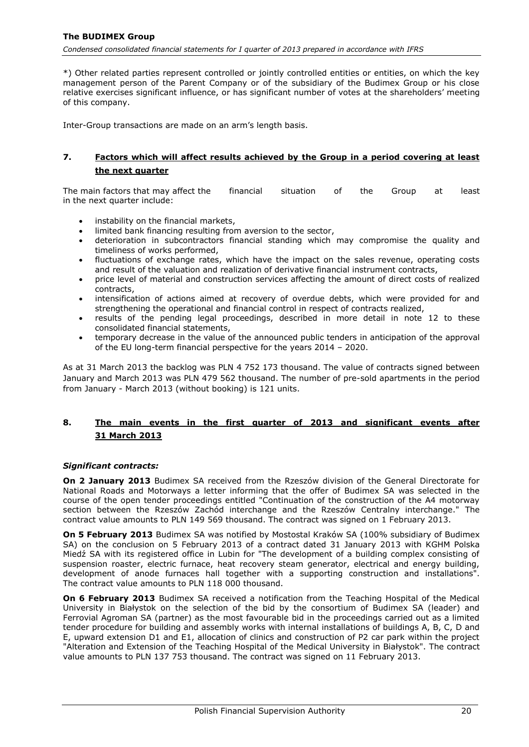\*) Other related parties represent controlled or jointly controlled entities or entities, on which the key management person of the Parent Company or of the subsidiary of the Budimex Group or his close relative exercises significant influence, or has significant number of votes at the shareholders' meeting of this company.

Inter-Group transactions are made on an arm's length basis.

## <span id="page-20-0"></span>**7. Factors which will affect results achieved by the Group in a period covering at least the next quarter**

The main factors that may affect the financial situation of the Group at least in the next quarter include:

- instability on the financial markets,
- limited bank financing resulting from aversion to the sector,
- deterioration in subcontractors financial standing which may compromise the quality and timeliness of works performed,
- fluctuations of exchange rates, which have the impact on the sales revenue, operating costs and result of the valuation and realization of derivative financial instrument contracts,
- price level of material and construction services affecting the amount of direct costs of realized contracts,
- intensification of actions aimed at recovery of overdue debts, which were provided for and strengthening the operational and financial control in respect of contracts realized,
- results of the pending legal proceedings, described in more detail in note [12](#page-23-3) to these consolidated financial statements,
- temporary decrease in the value of the announced public tenders in anticipation of the approval of the EU long-term financial perspective for the years 2014 – 2020.

As at 31 March 2013 the backlog was PLN 4 752 173 thousand. The value of contracts signed between January and March 2013 was PLN 479 562 thousand. The number of pre-sold apartments in the period from January - March 2013 (without booking) is 121 units.

# <span id="page-20-1"></span>**8. The main events in the first quarter of 2013 and significant events after 31 March 2013**

#### *Significant contracts:*

**On 2 January 2013** Budimex SA received from the Rzeszów division of the General Directorate for National Roads and Motorways a letter informing that the offer of Budimex SA was selected in the course of the open tender proceedings entitled "Continuation of the construction of the A4 motorway section between the Rzeszów Zachód interchange and the Rzeszów Centralny interchange." The contract value amounts to PLN 149 569 thousand. The contract was signed on 1 February 2013.

**On 5 February 2013** Budimex SA was notified by Mostostal Kraków SA (100% subsidiary of Budimex SA) on the conclusion on 5 February 2013 of a contract dated 31 January 2013 with KGHM Polska Miedź SA with its registered office in Lubin for "The development of a building complex consisting of suspension roaster, electric furnace, heat recovery steam generator, electrical and energy building, development of anode furnaces hall together with a supporting construction and installations". The contract value amounts to PLN 118 000 thousand.

**On 6 February 2013** Budimex SA received a notification from the Teaching Hospital of the Medical University in Białystok on the selection of the bid by the consortium of Budimex SA (leader) and Ferrovial Agroman SA (partner) as the most favourable bid in the proceedings carried out as a limited tender procedure for building and assembly works with internal installations of buildings A, B, C, D and E, upward extension D1 and E1, allocation of clinics and construction of P2 car park within the project "Alteration and Extension of the Teaching Hospital of the Medical University in Białystok". The contract value amounts to PLN 137 753 thousand. The contract was signed on 11 February 2013.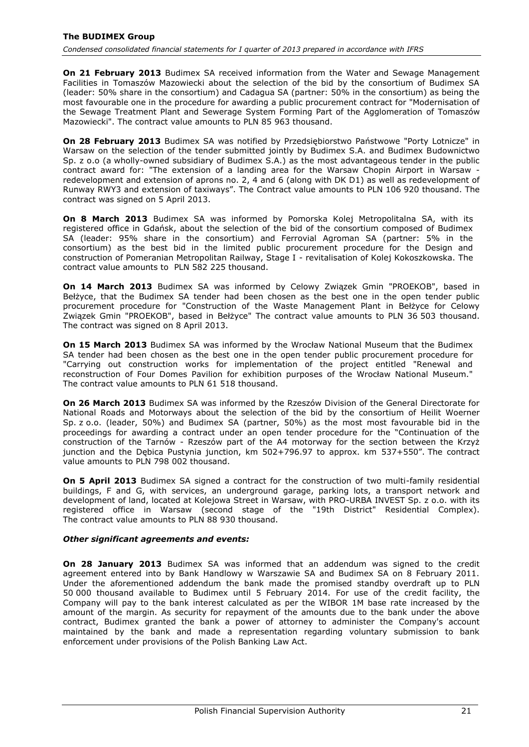**On 21 February 2013** Budimex SA received information from the Water and Sewage Management Facilities in Tomaszów Mazowiecki about the selection of the bid by the consortium of Budimex SA (leader: 50% share in the consortium) and Cadagua SA (partner: 50% in the consortium) as being the most favourable one in the procedure for awarding a public procurement contract for "Modernisation of the Sewage Treatment Plant and Sewerage System Forming Part of the Agglomeration of Tomaszów Mazowiecki". The contract value amounts to PLN 85 963 thousand.

**On 28 February 2013** Budimex SA was notified by Przedsiębiorstwo Państwowe "Porty Lotnicze" in Warsaw on the selection of the tender submitted jointly by Budimex S.A. and Budimex Budownictwo Sp. z o.o (a wholly-owned subsidiary of Budimex S.A.) as the most advantageous tender in the public contract award for: "The extension of a landing area for the Warsaw Chopin Airport in Warsaw redevelopment and extension of aprons no. 2, 4 and 6 (along with DK D1) as well as redevelopment of Runway RWY3 and extension of taxiways". The Contract value amounts to PLN 106 920 thousand. The contract was signed on 5 April 2013.

**On 8 March 2013** Budimex SA was informed by Pomorska Kolej Metropolitalna SA, with its registered office in Gdańsk, about the selection of the bid of the consortium composed of Budimex SA (leader: 95% share in the consortium) and Ferrovial Agroman SA (partner: 5% in the consortium) as the best bid in the limited public procurement procedure for the Design and construction of Pomeranian Metropolitan Railway, Stage I - revitalisation of Kolej Kokoszkowska. The contract value amounts to PLN 582 225 thousand.

**On 14 March 2013** Budimex SA was informed by Celowy Związek Gmin "PROEKOB", based in Bełżyce, that the Budimex SA tender had been chosen as the best one in the open tender public procurement procedure for "Construction of the Waste Management Plant in Bełżyce for Celowy Związek Gmin "PROEKOB", based in Bełżyce" The contract value amounts to PLN 36 503 thousand. The contract was signed on 8 April 2013.

**On 15 March 2013** Budimex SA was informed by the Wrocław National Museum that the Budimex SA tender had been chosen as the best one in the open tender public procurement procedure for "Carrying out construction works for implementation of the project entitled "Renewal and reconstruction of Four Domes Pavilion for exhibition purposes of the Wrocław National Museum." The contract value amounts to PLN 61 518 thousand.

**On 26 March 2013** Budimex SA was informed by the Rzeszów Division of the General Directorate for National Roads and Motorways about the selection of the bid by the consortium of Heilit Woerner Sp. z o.o. (leader, 50%) and Budimex SA (partner, 50%) as the most most favourable bid in the proceedings for awarding a contract under an open tender procedure for the "Continuation of the construction of the Tarnów - Rzeszów part of the A4 motorway for the section between the Krzyż junction and the Dębica Pustynia junction, km 502+796.97 to approx. km 537+550". The contract value amounts to PLN 798 002 thousand.

**On 5 April 2013** Budimex SA signed a contract for the construction of two multi-family residential buildings, F and G, with services, an underground garage, parking lots, a transport network and development of land, located at Kolejowa Street in Warsaw, with PRO-URBA INVEST Sp. z o.o. with its registered office in Warsaw (second stage of the "19th District" Residential Complex). The contract value amounts to PLN 88 930 thousand.

### *Other significant agreements and events:*

**On 28 January 2013** Budimex SA was informed that an addendum was signed to the credit agreement entered into by Bank Handlowy w Warszawie SA and Budimex SA on 8 February 2011. Under the aforementioned addendum the bank made the promised standby overdraft up to PLN 50 000 thousand available to Budimex until 5 February 2014. For use of the credit facility, the Company will pay to the bank interest calculated as per the WIBOR 1M base rate increased by the amount of the margin. As security for repayment of the amounts due to the bank under the above contract, Budimex granted the bank a power of attorney to administer the Company's account maintained by the bank and made a representation regarding voluntary submission to bank enforcement under provisions of the Polish Banking Law Act.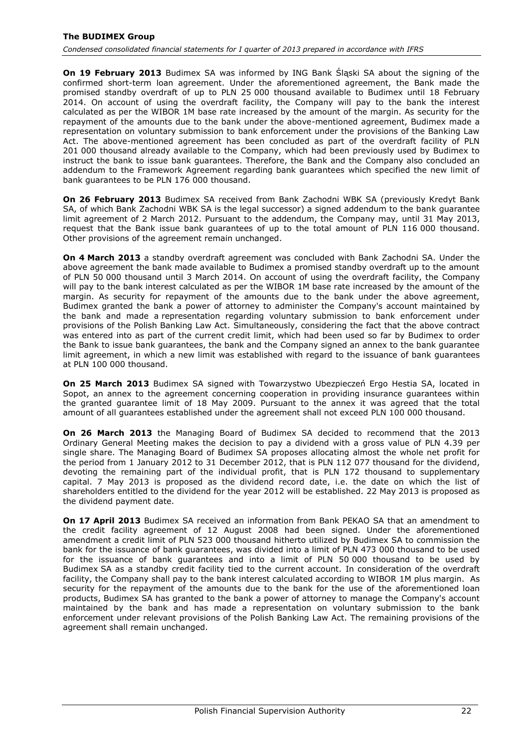**On 19 February 2013** Budimex SA was informed by ING Bank Śląski SA about the signing of the confirmed short-term loan agreement. Under the aforementioned agreement, the Bank made the promised standby overdraft of up to PLN 25 000 thousand available to Budimex until 18 February 2014. On account of using the overdraft facility, the Company will pay to the bank the interest calculated as per the WIBOR 1M base rate increased by the amount of the margin. As security for the repayment of the amounts due to the bank under the above-mentioned agreement, Budimex made a representation on voluntary submission to bank enforcement under the provisions of the Banking Law Act. The above-mentioned agreement has been concluded as part of the overdraft facility of PLN 201 000 thousand already available to the Company, which had been previously used by Budimex to instruct the bank to issue bank guarantees. Therefore, the Bank and the Company also concluded an addendum to the Framework Agreement regarding bank guarantees which specified the new limit of bank guarantees to be PLN 176 000 thousand.

**On 26 February 2013** Budimex SA received from Bank Zachodni WBK SA (previously Kredyt Bank SA, of which Bank Zachodni WBK SA is the legal successor) a signed addendum to the bank guarantee limit agreement of 2 March 2012. Pursuant to the addendum, the Company may, until 31 May 2013, request that the Bank issue bank guarantees of up to the total amount of PLN 116 000 thousand. Other provisions of the agreement remain unchanged.

**On 4 March 2013** a standby overdraft agreement was concluded with Bank Zachodni SA. Under the above agreement the bank made available to Budimex a promised standby overdraft up to the amount of PLN 50 000 thousand until 3 March 2014. On account of using the overdraft facility, the Company will pay to the bank interest calculated as per the WIBOR 1M base rate increased by the amount of the margin. As security for repayment of the amounts due to the bank under the above agreement, Budimex granted the bank a power of attorney to administer the Company's account maintained by the bank and made a representation regarding voluntary submission to bank enforcement under provisions of the Polish Banking Law Act. Simultaneously, considering the fact that the above contract was entered into as part of the current credit limit, which had been used so far by Budimex to order the Bank to issue bank guarantees, the bank and the Company signed an annex to the bank guarantee limit agreement, in which a new limit was established with regard to the issuance of bank guarantees at PLN 100 000 thousand.

**On 25 March 2013** Budimex SA signed with Towarzystwo Ubezpieczeń Ergo Hestia SA, located in Sopot, an annex to the agreement concerning cooperation in providing insurance guarantees within the granted guarantee limit of 18 May 2009. Pursuant to the annex it was agreed that the total amount of all guarantees established under the agreement shall not exceed PLN 100 000 thousand.

**On 26 March 2013** the Managing Board of Budimex SA decided to recommend that the 2013 Ordinary General Meeting makes the decision to pay a dividend with a gross value of PLN 4.39 per single share. The Managing Board of Budimex SA proposes allocating almost the whole net profit for the period from 1 January 2012 to 31 December 2012, that is PLN 112 077 thousand for the dividend, devoting the remaining part of the individual profit, that is PLN 172 thousand to supplementary capital. 7 May 2013 is proposed as the dividend record date, i.e. the date on which the list of shareholders entitled to the dividend for the year 2012 will be established. 22 May 2013 is proposed as the dividend payment date.

**On 17 April 2013** Budimex SA received an information from Bank PEKAO SA that an amendment to the credit facility agreement of 12 August 2008 had been signed. Under the aforementioned amendment a credit limit of PLN 523 000 thousand hitherto utilized by Budimex SA to commission the bank for the issuance of bank guarantees, was divided into a limit of PLN 473 000 thousand to be used for the issuance of bank guarantees and into a limit of PLN 50 000 thousand to be used by Budimex SA as a standby credit facility tied to the current account. In consideration of the overdraft facility, the Company shall pay to the bank interest calculated according to WIBOR 1M plus margin. As security for the repayment of the amounts due to the bank for the use of the aforementioned loan products, Budimex SA has granted to the bank a power of attorney to manage the Company's account maintained by the bank and has made a representation on voluntary submission to the bank enforcement under relevant provisions of the Polish Banking Law Act. The remaining provisions of the agreement shall remain unchanged.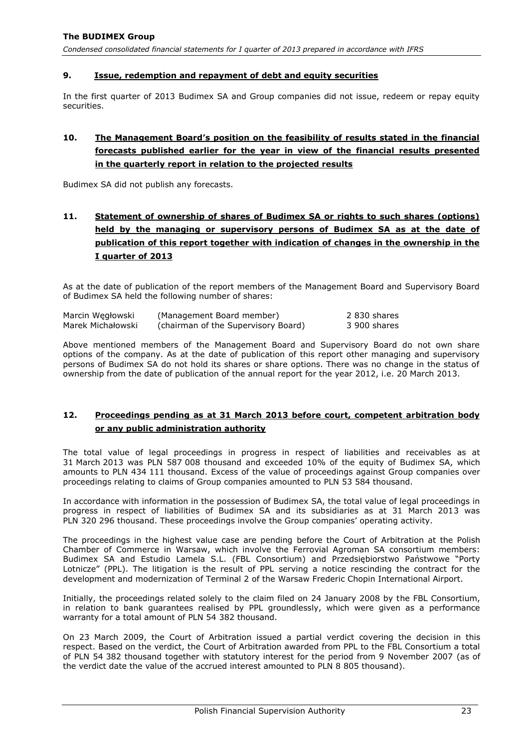## <span id="page-23-0"></span>**9. Issue, redemption and repayment of debt and equity securities**

In the first quarter of 2013 Budimex SA and Group companies did not issue, redeem or repay equity securities.

# <span id="page-23-1"></span>**10. The Management Board's position on the feasibility of results stated in the financial forecasts published earlier for the year in view of the financial results presented in the quarterly report in relation to the projected results**

Budimex SA did not publish any forecasts.

# <span id="page-23-2"></span>**11. Statement of ownership of shares of Budimex SA or rights to such shares (options) held by the managing or supervisory persons of Budimex SA as at the date of publication of this report together with indication of changes in the ownership in the I quarter of 2013**

As at the date of publication of the report members of the Management Board and Supervisory Board of Budimex SA held the following number of shares:

| Marcin Wegłowski  | (Management Board member)           | 2830 shares  |
|-------------------|-------------------------------------|--------------|
| Marek Michałowski | (chairman of the Supervisory Board) | 3 900 shares |

Above mentioned members of the Management Board and Supervisory Board do not own share options of the company. As at the date of publication of this report other managing and supervisory persons of Budimex SA do not hold its shares or share options. There was no change in the status of ownership from the date of publication of the annual report for the year 2012, i.e. 20 March 2013.

# <span id="page-23-3"></span>**12. Proceedings pending as at 31 March 2013 before court, competent arbitration body or any public administration authority**

The total value of legal proceedings in progress in respect of liabilities and receivables as at 31 March 2013 was PLN 587 008 thousand and exceeded 10% of the equity of Budimex SA, which amounts to PLN 434 111 thousand. Excess of the value of proceedings against Group companies over proceedings relating to claims of Group companies amounted to PLN 53 584 thousand.

In accordance with information in the possession of Budimex SA, the total value of legal proceedings in progress in respect of liabilities of Budimex SA and its subsidiaries as at 31 March 2013 was PLN 320 296 thousand. These proceedings involve the Group companies' operating activity.

The proceedings in the highest value case are pending before the Court of Arbitration at the Polish Chamber of Commerce in Warsaw, which involve the Ferrovial Agroman SA consortium members: Budimex SA and Estudio Lamela S.L. (FBL Consortium) and Przedsiębiorstwo Państwowe "Porty Lotnicze" (PPL). The litigation is the result of PPL serving a notice rescinding the contract for the development and modernization of Terminal 2 of the Warsaw Frederic Chopin International Airport.

Initially, the proceedings related solely to the claim filed on 24 January 2008 by the FBL Consortium, in relation to bank guarantees realised by PPL groundlessly, which were given as a performance warranty for a total amount of PLN 54 382 thousand.

On 23 March 2009, the Court of Arbitration issued a partial verdict covering the decision in this respect. Based on the verdict, the Court of Arbitration awarded from PPL to the FBL Consortium a total of PLN 54 382 thousand together with statutory interest for the period from 9 November 2007 (as of the verdict date the value of the accrued interest amounted to PLN 8 805 thousand).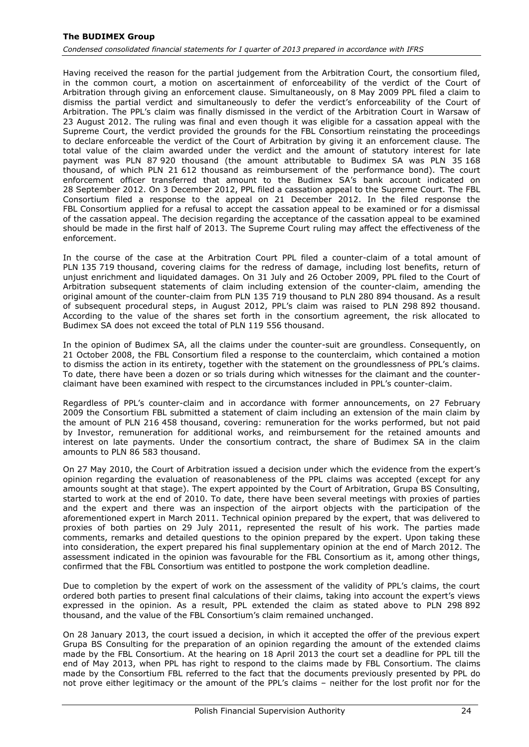Having received the reason for the partial judgement from the Arbitration Court, the consortium filed, in the common court, a motion on ascertainment of enforceability of the verdict of the Court of Arbitration through giving an enforcement clause. Simultaneously, on 8 May 2009 PPL filed a claim to dismiss the partial verdict and simultaneously to defer the verdict's enforceability of the Court of Arbitration. The PPL's claim was finally dismissed in the verdict of the Arbitration Court in Warsaw of 23 August 2012. The ruling was final and even though it was eligible for a cassation appeal with the Supreme Court, the verdict provided the grounds for the FBL Consortium reinstating the proceedings to declare enforceable the verdict of the Court of Arbitration by giving it an enforcement clause. The total value of the claim awarded under the verdict and the amount of statutory interest for late payment was PLN 87 920 thousand (the amount attributable to Budimex SA was PLN 35 168 thousand, of which PLN 21 612 thousand as reimbursement of the performance bond). The court enforcement officer transferred that amount to the Budimex SA's bank account indicated on 28 September 2012. On 3 December 2012, PPL filed a cassation appeal to the Supreme Court. The FBL Consortium filed a response to the appeal on 21 December 2012. In the filed response the FBL Consortium applied for a refusal to accept the cassation appeal to be examined or for a dismissal of the cassation appeal. The decision regarding the acceptance of the cassation appeal to be examined should be made in the first half of 2013. The Supreme Court ruling may affect the effectiveness of the enforcement.

In the course of the case at the Arbitration Court PPL filed a counter-claim of a total amount of PLN 135 719 thousand, covering claims for the redress of damage, including lost benefits, return of unjust enrichment and liquidated damages. On 31 July and 26 October 2009, PPL filed to the Court of Arbitration subsequent statements of claim including extension of the counter-claim, amending the original amount of the counter-claim from PLN 135 719 thousand to PLN 280 894 thousand. As a result of subsequent procedural steps, in August 2012, PPL's claim was raised to PLN 298 892 thousand. According to the value of the shares set forth in the consortium agreement, the risk allocated to Budimex SA does not exceed the total of PLN 119 556 thousand.

In the opinion of Budimex SA, all the claims under the counter-suit are groundless. Consequently, on 21 October 2008, the FBL Consortium filed a response to the counterclaim, which contained a motion to dismiss the action in its entirety, together with the statement on the groundlessness of PPL's claims. To date, there have been a dozen or so trials during which witnesses for the claimant and the counterclaimant have been examined with respect to the circumstances included in PPL's counter-claim.

Regardless of PPL's counter-claim and in accordance with former announcements, on 27 February 2009 the Consortium FBL submitted a statement of claim including an extension of the main claim by the amount of PLN 216 458 thousand, covering: remuneration for the works performed, but not paid by Investor, remuneration for additional works, and reimbursement for the retained amounts and interest on late payments. Under the consortium contract, the share of Budimex SA in the claim amounts to PLN 86 583 thousand.

On 27 May 2010, the Court of Arbitration issued a decision under which the evidence from the expert's opinion regarding the evaluation of reasonableness of the PPL claims was accepted (except for any amounts sought at that stage). The expert appointed by the Court of Arbitration, Grupa BS Consulting, started to work at the end of 2010. To date, there have been several meetings with proxies of parties and the expert and there was an inspection of the airport objects with the participation of the aforementioned expert in March 2011. Technical opinion prepared by the expert, that was delivered to proxies of both parties on 29 July 2011, represented the result of his work. The parties made comments, remarks and detailed questions to the opinion prepared by the expert. Upon taking these into consideration, the expert prepared his final supplementary opinion at the end of March 2012. The assessment indicated in the opinion was favourable for the FBL Consortium as it, among other things, confirmed that the FBL Consortium was entitled to postpone the work completion deadline.

Due to completion by the expert of work on the assessment of the validity of PPL's claims, the court ordered both parties to present final calculations of their claims, taking into account the expert's views expressed in the opinion. As a result, PPL extended the claim as stated above to PLN 298 892 thousand, and the value of the FBL Consortium's claim remained unchanged.

On 28 January 2013, the court issued a decision, in which it accepted the offer of the previous expert Grupa BS Consulting for the preparation of an opinion regarding the amount of the extended claims made by the FBL Consortium. At the hearing on 18 April 2013 the court set a deadline for PPL till the end of May 2013, when PPL has right to respond to the claims made by FBL Consortium. The claims made by the Consortium FBL referred to the fact that the documents previously presented by PPL do not prove either legitimacy or the amount of the PPL's claims – neither for the lost profit nor for the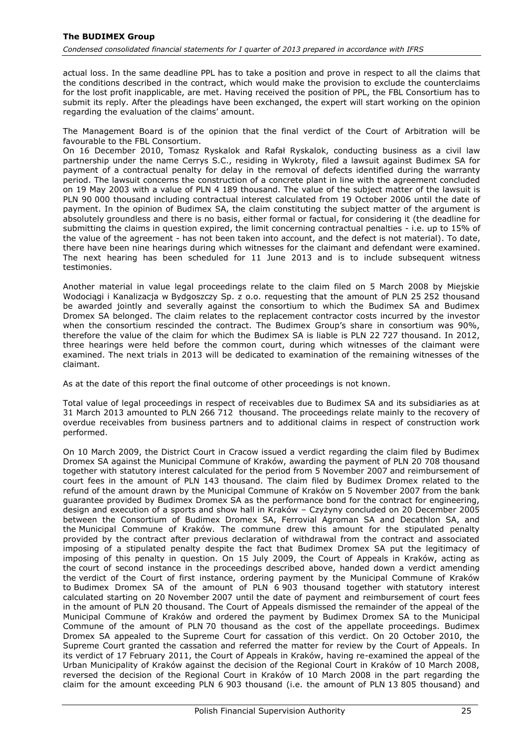actual loss. In the same deadline PPL has to take a position and prove in respect to all the claims that the conditions described in the contract, which would make the provision to exclude the counterclaims for the lost profit inapplicable, are met. Having received the position of PPL, the FBL Consortium has to submit its reply. After the pleadings have been exchanged, the expert will start working on the opinion regarding the evaluation of the claims' amount.

The Management Board is of the opinion that the final verdict of the Court of Arbitration will be favourable to the FBL Consortium.

On 16 December 2010, Tomasz Ryskalok and Rafał Ryskalok, conducting business as a civil law partnership under the name Cerrys S.C., residing in Wykroty, filed a lawsuit against Budimex SA for payment of a contractual penalty for delay in the removal of defects identified during the warranty period. The lawsuit concerns the construction of a concrete plant in line with the agreement concluded on 19 May 2003 with a value of PLN 4 189 thousand. The value of the subject matter of the lawsuit is PLN 90 000 thousand including contractual interest calculated from 19 October 2006 until the date of payment. In the opinion of Budimex SA, the claim constituting the subject matter of the argument is absolutely groundless and there is no basis, either formal or factual, for considering it (the deadline for submitting the claims in question expired, the limit concerning contractual penalties - i.e. up to 15% of the value of the agreement - has not been taken into account, and the defect is not material). To date, there have been nine hearings during which witnesses for the claimant and defendant were examined. The next hearing has been scheduled for 11 June 2013 and is to include subsequent witness testimonies.

Another material in value legal proceedings relate to the claim filed on 5 March 2008 by Miejskie Wodociągi i Kanalizacja w Bydgoszczy Sp. z o.o. requesting that the amount of PLN 25 252 thousand be awarded jointly and severally against the consortium to which the Budimex SA and Budimex Dromex SA belonged. The claim relates to the replacement contractor costs incurred by the investor when the consortium rescinded the contract. The Budimex Group's share in consortium was 90%, therefore the value of the claim for which the Budimex SA is liable is PLN 22 727 thousand. In 2012, three hearings were held before the common court, during which witnesses of the claimant were examined. The next trials in 2013 will be dedicated to examination of the remaining witnesses of the claimant.

As at the date of this report the final outcome of other proceedings is not known.

Total value of legal proceedings in respect of receivables due to Budimex SA and its subsidiaries as at 31 March 2013 amounted to PLN 266 712 thousand. The proceedings relate mainly to the recovery of overdue receivables from business partners and to additional claims in respect of construction work performed.

On 10 March 2009, the District Court in Cracow issued a verdict regarding the claim filed by Budimex Dromex SA against the Municipal Commune of Kraków, awarding the payment of PLN 20 708 thousand together with statutory interest calculated for the period from 5 November 2007 and reimbursement of court fees in the amount of PLN 143 thousand. The claim filed by Budimex Dromex related to the refund of the amount drawn by the Municipal Commune of Kraków on 5 November 2007 from the bank guarantee provided by Budimex Dromex SA as the performance bond for the contract for engineering, design and execution of a sports and show hall in Kraków – Czyżyny concluded on 20 December 2005 between the Consortium of Budimex Dromex SA, Ferrovial Agroman SA and Decathlon SA, and the Municipal Commune of Kraków. The commune drew this amount for the stipulated penalty provided by the contract after previous declaration of withdrawal from the contract and associated imposing of a stipulated penalty despite the fact that Budimex Dromex SA put the legitimacy of imposing of this penalty in question. On 15 July 2009, the Court of Appeals in Kraków, acting as the court of second instance in the proceedings described above, handed down a verdict amending the verdict of the Court of first instance, ordering payment by the Municipal Commune of Kraków to Budimex Dromex SA of the amount of PLN 6 903 thousand together with statutory interest calculated starting on 20 November 2007 until the date of payment and reimbursement of court fees in the amount of PLN 20 thousand. The Court of Appeals dismissed the remainder of the appeal of the Municipal Commune of Kraków and ordered the payment by Budimex Dromex SA to the Municipal Commune of the amount of PLN 70 thousand as the cost of the appellate proceedings. Budimex Dromex SA appealed to the Supreme Court for cassation of this verdict. On 20 October 2010, the Supreme Court granted the cassation and referred the matter for review by the Court of Appeals. In its verdict of 17 February 2011, the Court of Appeals in Kraków, having re-examined the appeal of the Urban Municipality of Kraków against the decision of the Regional Court in Kraków of 10 March 2008, reversed the decision of the Regional Court in Kraków of 10 March 2008 in the part regarding the claim for the amount exceeding PLN 6 903 thousand (i.e. the amount of PLN 13 805 thousand) and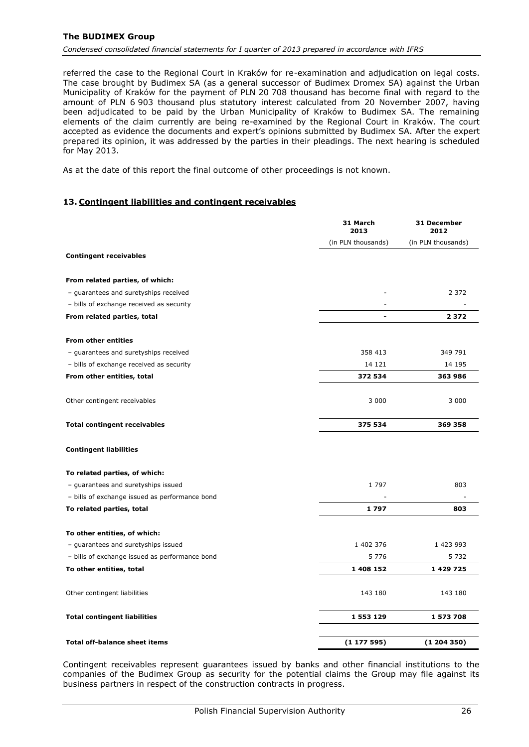#### **The BUDIMEX Group**

*Condensed consolidated financial statements for I quarter of 2013 prepared in accordance with IFRS*

referred the case to the Regional Court in Kraków for re-examination and adjudication on legal costs. The case brought by Budimex SA (as a general successor of Budimex Dromex SA) against the Urban Municipality of Kraków for the payment of PLN 20 708 thousand has become final with regard to the amount of PLN 6 903 thousand plus statutory interest calculated from 20 November 2007, having been adjudicated to be paid by the Urban Municipality of Kraków to Budimex SA. The remaining elements of the claim currently are being re-examined by the Regional Court in Kraków. The court accepted as evidence the documents and expert's opinions submitted by Budimex SA. After the expert prepared its opinion, it was addressed by the parties in their pleadings. The next hearing is scheduled for May 2013.

As at the date of this report the final outcome of other proceedings is not known.

#### <span id="page-26-0"></span>**13. Contingent liabilities and contingent receivables**

|                                                | 31 March<br>2013         | 31 December<br>2012 |
|------------------------------------------------|--------------------------|---------------------|
|                                                | (in PLN thousands)       | (in PLN thousands)  |
| <b>Contingent receivables</b>                  |                          |                     |
| From related parties, of which:                |                          |                     |
| - guarantees and suretyships received          |                          | 2 3 7 2             |
| - bills of exchange received as security       |                          |                     |
| From related parties, total                    | $\overline{\phantom{a}}$ | 2372                |
| <b>From other entities</b>                     |                          |                     |
| - guarantees and suretyships received          | 358 413                  | 349 791             |
| - bills of exchange received as security       | 14 121                   | 14 195              |
| From other entities, total                     | 372 534                  | 363 986             |
|                                                |                          |                     |
| Other contingent receivables                   | 3 0 0 0                  | 3 0 0 0             |
| <b>Total contingent receivables</b>            | 375 534                  | 369 358             |
| <b>Contingent liabilities</b>                  |                          |                     |
| To related parties, of which:                  |                          |                     |
| - guarantees and suretyships issued            | 1797                     | 803                 |
| - bills of exchange issued as performance bond |                          |                     |
| To related parties, total                      | 1797                     | 803                 |
| To other entities, of which:                   |                          |                     |
| - guarantees and suretyships issued            | 1 402 376                | 1 423 993           |
| - bills of exchange issued as performance bond | 5 7 7 6                  | 5 7 3 2             |
| To other entities, total                       | 1 408 152                | 1 429 725           |
| Other contingent liabilities                   | 143 180                  | 143 180             |
| <b>Total contingent liabilities</b>            | 1 553 129                | 1 573 708           |
| <b>Total off-balance sheet items</b>           | (1177595)                | (1204350)           |

Contingent receivables represent guarantees issued by banks and other financial institutions to the companies of the Budimex Group as security for the potential claims the Group may file against its business partners in respect of the construction contracts in progress.